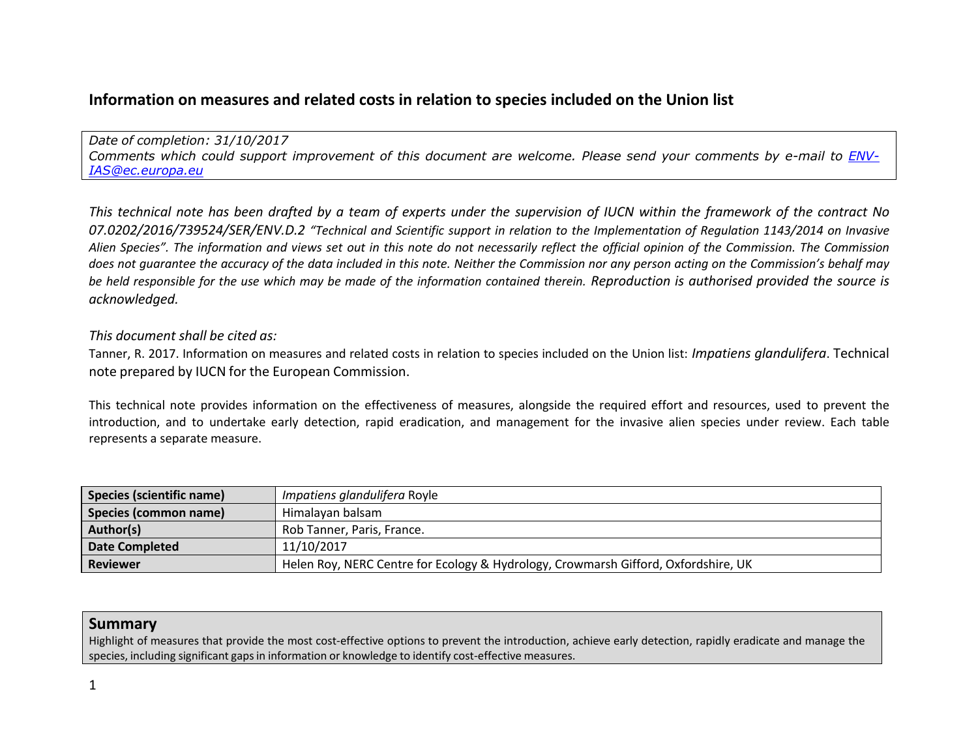## **Information on measures and related costs in relation to species included on the Union list**

*Date of completion: 31/10/2017* Comments which could support improvement of this document are welcome. Please send your comments by e-mail to [ENV-](mailto:ENV-IAS@ec.europa.eu)*[IAS@ec.europa.eu](mailto:ENV-IAS@ec.europa.eu)*

This technical note has been drafted by a team of experts under the supervision of IUCN within the framework of the contract No 07.0202/2016/739524/SER/ENV.D.2 "Technical and Scientific support in relation to the Implementation of Regulation 1143/2014 on Invasive Alien Species". The information and views set out in this note do not necessarily reflect the official opinion of the Commission. The Commission does not quarantee the accuracy of the data included in this note. Neither the Commission nor any person acting on the Commission's behalf may be held responsible for the use which may be made of the information contained therein. Reproduction is authorised provided the source is *acknowledged.*

## *This document shall be cited as:*

Tanner, R. 2017. Information on measures and related costs in relation to species included on the Union list: *Impatiens glandulifera*. Technical note prepared by IUCN for the European Commission.

This technical note provides information on the effectiveness of measures, alongside the required effort and resources, used to prevent the introduction, and to undertake early detection, rapid eradication, and management for the invasive alien species under review. Each table represents a separate measure.

| <b>Species (scientific name)</b> | Impatiens glandulifera Royle                                                       |
|----------------------------------|------------------------------------------------------------------------------------|
| Species (common name)            | Himalayan balsam                                                                   |
| Author(s)                        | Rob Tanner, Paris, France.                                                         |
| <b>Date Completed</b>            | 11/10/2017                                                                         |
| <b>Reviewer</b>                  | Helen Roy, NERC Centre for Ecology & Hydrology, Crowmarsh Gifford, Oxfordshire, UK |

## **Summary**

Highlight of measures that provide the most cost-effective options to prevent the introduction, achieve early detection, rapidly eradicate and manage the species, including significant gaps in information or knowledge to identify cost-effective measures.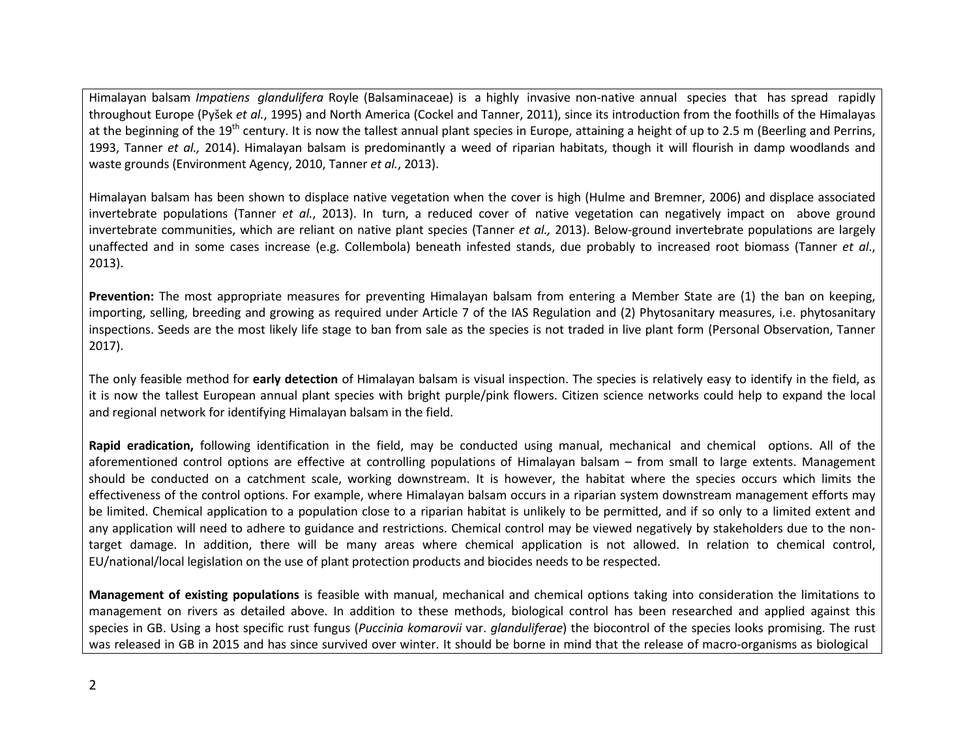Himalayan balsam *Impatiens glandulifera* Royle (Balsaminaceae) is a highly invasive non-native annual species that has spread rapidly throughout Europe (Pyšek *et al.*, 1995) and North America (Cockel and Tanner, 2011), since its introduction from the foothills of the Himalayas at the beginning of the 19<sup>th</sup> century. It is now the tallest annual plant species in Europe, attaining a height of up to 2.5 m (Beerling and Perrins, 1993, Tanner *et al.,* 2014). Himalayan balsam is predominantly a weed of riparian habitats, though it will flourish in damp woodlands and waste grounds (Environment Agency, 2010, Tanner *et al.*, 2013).

Himalayan balsam has been shown to displace native vegetation when the cover is high (Hulme and Bremner, 2006) and displace associated invertebrate populations (Tanner *et al.*, 2013). In turn, a reduced cover of native vegetation can negatively impact on above ground invertebrate communities, which are reliant on native plant species (Tanner *et al.,* 2013). Below-ground invertebrate populations are largely unaffected and in some cases increase (e.g. Collembola) beneath infested stands, due probably to increased root biomass (Tanner *et al*., 2013).

**Prevention:** The most appropriate measures for preventing Himalayan balsam from entering a Member State are (1) the ban on keeping, importing, selling, breeding and growing as required under Article 7 of the IAS Regulation and (2) Phytosanitary measures, i.e. phytosanitary inspections. Seeds are the most likely life stage to ban from sale as the species is not traded in live plant form (Personal Observation, Tanner 2017).

The only feasible method for **early detection** of Himalayan balsam is visual inspection. The species is relatively easy to identify in the field, as it is now the tallest European annual plant species with bright purple/pink flowers. Citizen science networks could help to expand the local and regional network for identifying Himalayan balsam in the field.

**Rapid eradication,** following identification in the field, may be conducted using manual, mechanical and chemical options. All of the aforementioned control options are effective at controlling populations of Himalayan balsam – from small to large extents. Management should be conducted on a catchment scale, working downstream. It is however, the habitat where the species occurs which limits the effectiveness of the control options. For example, where Himalayan balsam occurs in a riparian system downstream management efforts may be limited. Chemical application to a population close to a riparian habitat is unlikely to be permitted, and if so only to a limited extent and any application will need to adhere to guidance and restrictions. Chemical control may be viewed negatively by stakeholders due to the nontarget damage. In addition, there will be many areas where chemical application is not allowed. In relation to chemical control, EU/national/local legislation on the use of plant protection products and biocides needs to be respected.

**Management of existing populations** is feasible with manual, mechanical and chemical options taking into consideration the limitations to management on rivers as detailed above. In addition to these methods, biological control has been researched and applied against this species in GB. Using a host specific rust fungus (*Puccinia komarovii* var. *glanduliferae*) the biocontrol of the species looks promising. The rust was released in GB in 2015 and has since survived over winter. It should be borne in mind that the release of macro-organisms as biological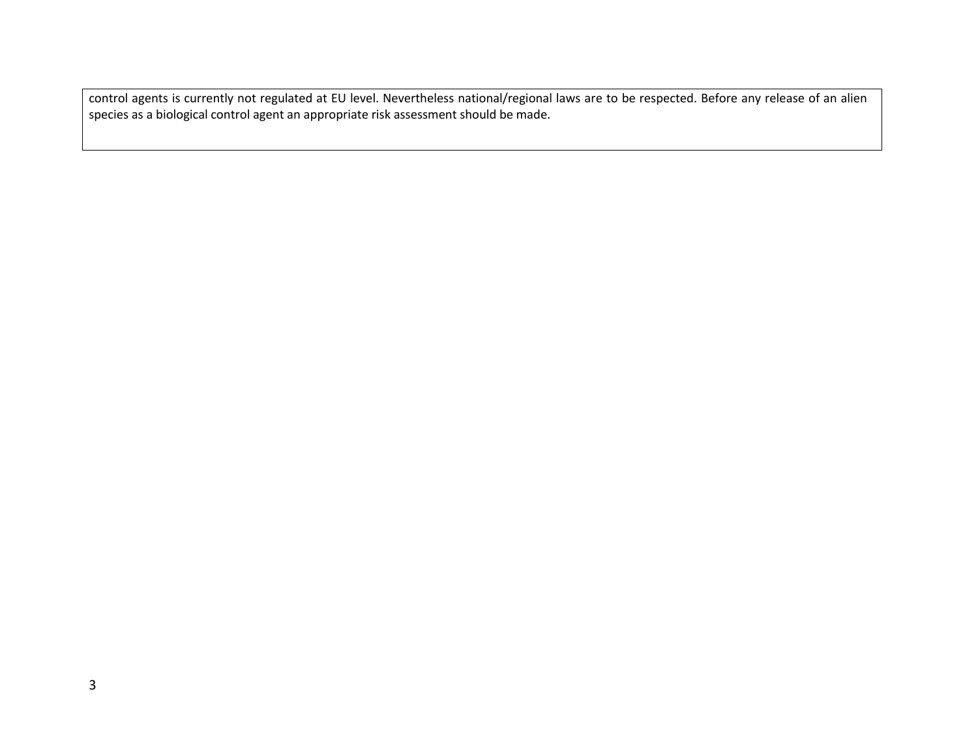control agents is currently not regulated at EU level. Nevertheless national/regional laws are to be respected. Before any release of an alien species as a biological control agent an appropriate risk assessment should be made.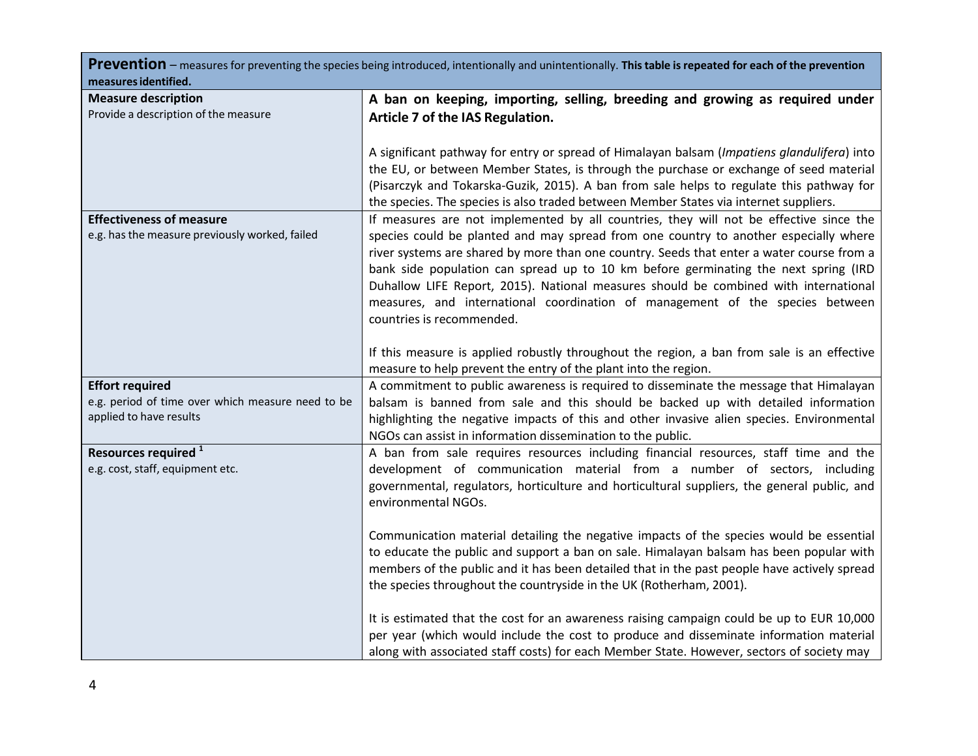| <b>Prevention</b> – measures for preventing the species being introduced, intentionally and unintentionally. This table is repeated for each of the prevention<br>measures identified. |                                                                                                                                                                                                                                                                                                                                                                                                                                                                                                                                                                          |
|----------------------------------------------------------------------------------------------------------------------------------------------------------------------------------------|--------------------------------------------------------------------------------------------------------------------------------------------------------------------------------------------------------------------------------------------------------------------------------------------------------------------------------------------------------------------------------------------------------------------------------------------------------------------------------------------------------------------------------------------------------------------------|
| <b>Measure description</b><br>Provide a description of the measure                                                                                                                     | A ban on keeping, importing, selling, breeding and growing as required under<br>Article 7 of the IAS Regulation.                                                                                                                                                                                                                                                                                                                                                                                                                                                         |
|                                                                                                                                                                                        | A significant pathway for entry or spread of Himalayan balsam (Impatiens glandulifera) into<br>the EU, or between Member States, is through the purchase or exchange of seed material<br>(Pisarczyk and Tokarska-Guzik, 2015). A ban from sale helps to regulate this pathway for<br>the species. The species is also traded between Member States via internet suppliers.                                                                                                                                                                                               |
| <b>Effectiveness of measure</b><br>e.g. has the measure previously worked, failed                                                                                                      | If measures are not implemented by all countries, they will not be effective since the<br>species could be planted and may spread from one country to another especially where<br>river systems are shared by more than one country. Seeds that enter a water course from a<br>bank side population can spread up to 10 km before germinating the next spring (IRD<br>Duhallow LIFE Report, 2015). National measures should be combined with international<br>measures, and international coordination of management of the species between<br>countries is recommended. |
|                                                                                                                                                                                        | If this measure is applied robustly throughout the region, a ban from sale is an effective<br>measure to help prevent the entry of the plant into the region.                                                                                                                                                                                                                                                                                                                                                                                                            |
| <b>Effort required</b><br>e.g. period of time over which measure need to be<br>applied to have results                                                                                 | A commitment to public awareness is required to disseminate the message that Himalayan<br>balsam is banned from sale and this should be backed up with detailed information<br>highlighting the negative impacts of this and other invasive alien species. Environmental<br>NGOs can assist in information dissemination to the public.                                                                                                                                                                                                                                  |
| Resources required <sup>1</sup><br>e.g. cost, staff, equipment etc.                                                                                                                    | A ban from sale requires resources including financial resources, staff time and the<br>development of communication material from a number of sectors, including<br>governmental, regulators, horticulture and horticultural suppliers, the general public, and<br>environmental NGOs.                                                                                                                                                                                                                                                                                  |
|                                                                                                                                                                                        | Communication material detailing the negative impacts of the species would be essential<br>to educate the public and support a ban on sale. Himalayan balsam has been popular with<br>members of the public and it has been detailed that in the past people have actively spread<br>the species throughout the countryside in the UK (Rotherham, 2001).                                                                                                                                                                                                                 |
|                                                                                                                                                                                        | It is estimated that the cost for an awareness raising campaign could be up to EUR 10,000<br>per year (which would include the cost to produce and disseminate information material<br>along with associated staff costs) for each Member State. However, sectors of society may                                                                                                                                                                                                                                                                                         |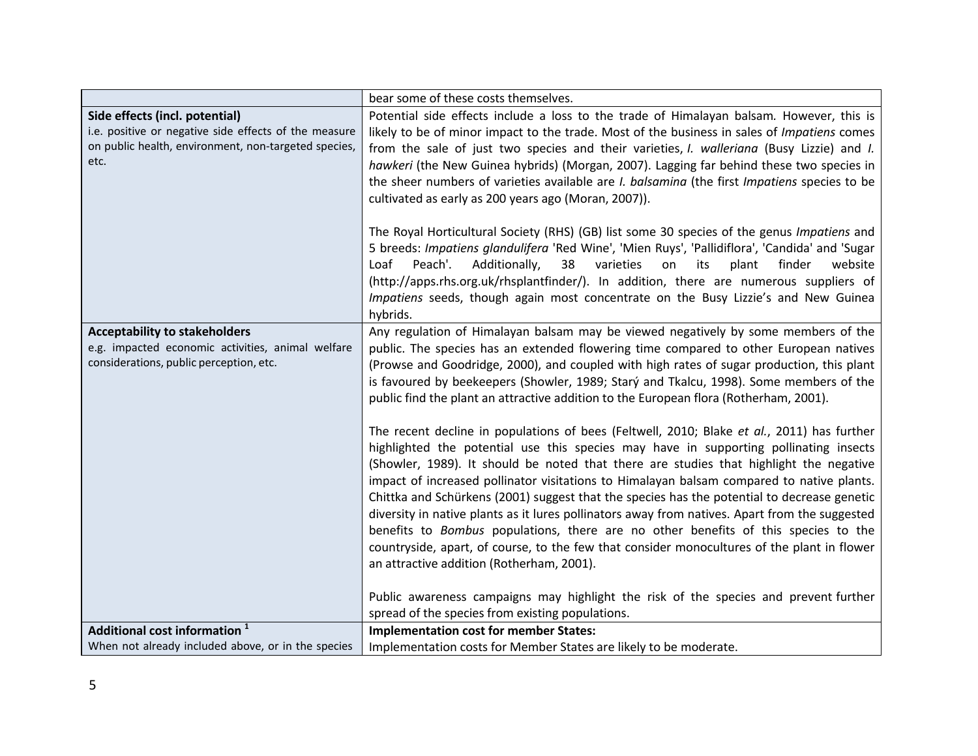|                                                       | bear some of these costs themselves.                                                                       |
|-------------------------------------------------------|------------------------------------------------------------------------------------------------------------|
| Side effects (incl. potential)                        | Potential side effects include a loss to the trade of Himalayan balsam. However, this is                   |
| i.e. positive or negative side effects of the measure | likely to be of minor impact to the trade. Most of the business in sales of Impatiens comes                |
| on public health, environment, non-targeted species,  | from the sale of just two species and their varieties, <i>I. walleriana</i> (Busy Lizzie) and <i>I.</i>    |
| etc.                                                  | hawkeri (the New Guinea hybrids) (Morgan, 2007). Lagging far behind these two species in                   |
|                                                       | the sheer numbers of varieties available are <i>I. balsamina</i> (the first <i>Impatiens</i> species to be |
|                                                       | cultivated as early as 200 years ago (Moran, 2007)).                                                       |
|                                                       |                                                                                                            |
|                                                       | The Royal Horticultural Society (RHS) (GB) list some 30 species of the genus Impatiens and                 |
|                                                       | 5 breeds: Impatiens glandulifera 'Red Wine', 'Mien Ruys', 'Pallidiflora', 'Candida' and 'Sugar             |
|                                                       | Peach'.<br>Additionally,<br>varieties<br>Loaf<br>38<br>on<br>its<br>plant<br>finder<br>website             |
|                                                       | (http://apps.rhs.org.uk/rhsplantfinder/). In addition, there are numerous suppliers of                     |
|                                                       | Impatiens seeds, though again most concentrate on the Busy Lizzie's and New Guinea                         |
|                                                       | hybrids.                                                                                                   |
| <b>Acceptability to stakeholders</b>                  | Any regulation of Himalayan balsam may be viewed negatively by some members of the                         |
| e.g. impacted economic activities, animal welfare     | public. The species has an extended flowering time compared to other European natives                      |
| considerations, public perception, etc.               | (Prowse and Goodridge, 2000), and coupled with high rates of sugar production, this plant                  |
|                                                       | is favoured by beekeepers (Showler, 1989; Starý and Tkalcu, 1998). Some members of the                     |
|                                                       | public find the plant an attractive addition to the European flora (Rotherham, 2001).                      |
|                                                       |                                                                                                            |
|                                                       | The recent decline in populations of bees (Feltwell, 2010; Blake et al., 2011) has further                 |
|                                                       | highlighted the potential use this species may have in supporting pollinating insects                      |
|                                                       | (Showler, 1989). It should be noted that there are studies that highlight the negative                     |
|                                                       | impact of increased pollinator visitations to Himalayan balsam compared to native plants.                  |
|                                                       | Chittka and Schürkens (2001) suggest that the species has the potential to decrease genetic                |
|                                                       | diversity in native plants as it lures pollinators away from natives. Apart from the suggested             |
|                                                       | benefits to Bombus populations, there are no other benefits of this species to the                         |
|                                                       | countryside, apart, of course, to the few that consider monocultures of the plant in flower                |
|                                                       | an attractive addition (Rotherham, 2001).                                                                  |
|                                                       |                                                                                                            |
|                                                       | Public awareness campaigns may highlight the risk of the species and prevent further                       |
|                                                       | spread of the species from existing populations.                                                           |
| Additional cost information <sup>1</sup>              | <b>Implementation cost for member States:</b>                                                              |
| When not already included above, or in the species    | Implementation costs for Member States are likely to be moderate.                                          |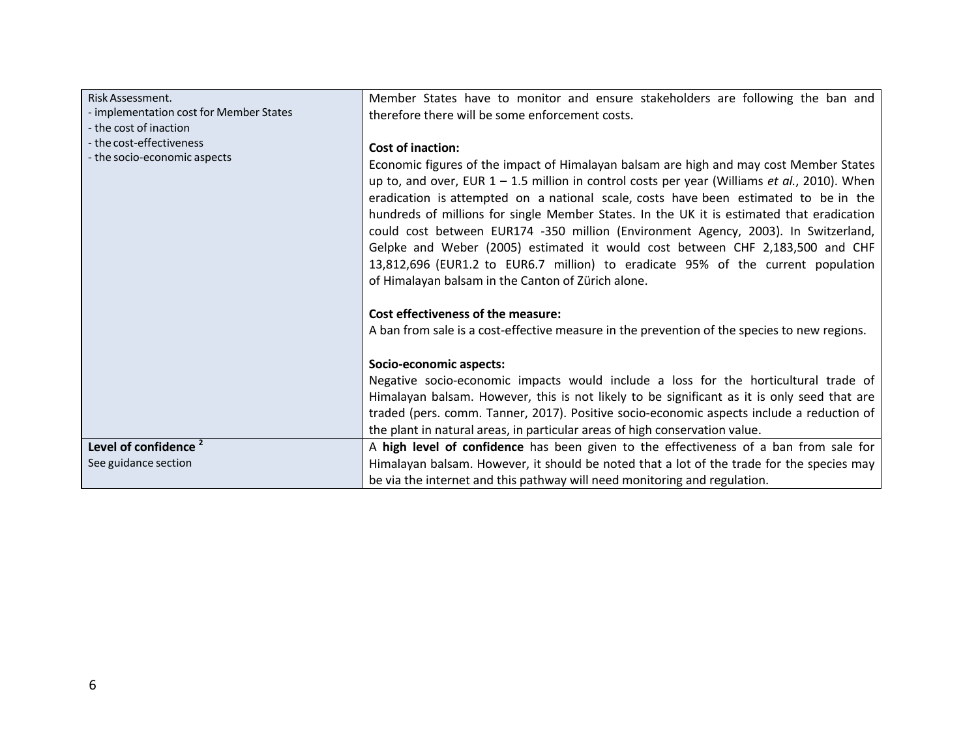| Risk Assessment.                        | Member States have to monitor and ensure stakeholders are following the ban and                |
|-----------------------------------------|------------------------------------------------------------------------------------------------|
| - implementation cost for Member States | therefore there will be some enforcement costs.                                                |
| - the cost of inaction                  |                                                                                                |
| - the cost-effectiveness                |                                                                                                |
| - the socio-economic aspects            | <b>Cost of inaction:</b>                                                                       |
|                                         | Economic figures of the impact of Himalayan balsam are high and may cost Member States         |
|                                         | up to, and over, EUR $1 - 1.5$ million in control costs per year (Williams et al., 2010). When |
|                                         | eradication is attempted on a national scale, costs have been estimated to be in the           |
|                                         | hundreds of millions for single Member States. In the UK it is estimated that eradication      |
|                                         | could cost between EUR174 -350 million (Environment Agency, 2003). In Switzerland,             |
|                                         | Gelpke and Weber (2005) estimated it would cost between CHF 2,183,500 and CHF                  |
|                                         |                                                                                                |
|                                         | 13,812,696 (EUR1.2 to EUR6.7 million) to eradicate 95% of the current population               |
|                                         | of Himalayan balsam in the Canton of Zürich alone.                                             |
|                                         |                                                                                                |
|                                         | Cost effectiveness of the measure:                                                             |
|                                         | A ban from sale is a cost-effective measure in the prevention of the species to new regions.   |
|                                         |                                                                                                |
|                                         | Socio-economic aspects:                                                                        |
|                                         | Negative socio-economic impacts would include a loss for the horticultural trade of            |
|                                         | Himalayan balsam. However, this is not likely to be significant as it is only seed that are    |
|                                         |                                                                                                |
|                                         | traded (pers. comm. Tanner, 2017). Positive socio-economic aspects include a reduction of      |
|                                         | the plant in natural areas, in particular areas of high conservation value.                    |
| Level of confidence <sup>2</sup>        | A high level of confidence has been given to the effectiveness of a ban from sale for          |
| See guidance section                    | Himalayan balsam. However, it should be noted that a lot of the trade for the species may      |
|                                         | be via the internet and this pathway will need monitoring and regulation.                      |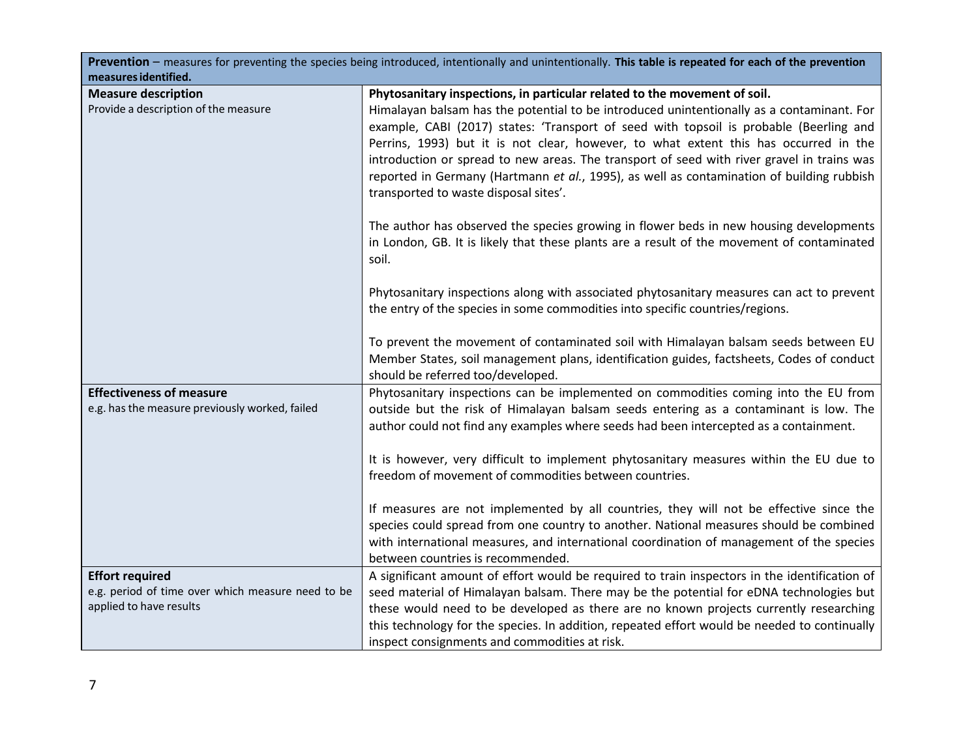| Prevention - measures for preventing the species being introduced, intentionally and unintentionally. This table is repeated for each of the prevention |                                                                                                                                                                                      |
|---------------------------------------------------------------------------------------------------------------------------------------------------------|--------------------------------------------------------------------------------------------------------------------------------------------------------------------------------------|
| measures identified.                                                                                                                                    |                                                                                                                                                                                      |
| <b>Measure description</b>                                                                                                                              | Phytosanitary inspections, in particular related to the movement of soil.                                                                                                            |
| Provide a description of the measure                                                                                                                    | Himalayan balsam has the potential to be introduced unintentionally as a contaminant. For                                                                                            |
|                                                                                                                                                         | example, CABI (2017) states: 'Transport of seed with topsoil is probable (Beerling and                                                                                               |
|                                                                                                                                                         | Perrins, 1993) but it is not clear, however, to what extent this has occurred in the                                                                                                 |
|                                                                                                                                                         | introduction or spread to new areas. The transport of seed with river gravel in trains was                                                                                           |
|                                                                                                                                                         | reported in Germany (Hartmann et al., 1995), as well as contamination of building rubbish                                                                                            |
|                                                                                                                                                         | transported to waste disposal sites'.                                                                                                                                                |
|                                                                                                                                                         |                                                                                                                                                                                      |
|                                                                                                                                                         | The author has observed the species growing in flower beds in new housing developments<br>in London, GB. It is likely that these plants are a result of the movement of contaminated |
|                                                                                                                                                         | soil.                                                                                                                                                                                |
|                                                                                                                                                         |                                                                                                                                                                                      |
|                                                                                                                                                         | Phytosanitary inspections along with associated phytosanitary measures can act to prevent                                                                                            |
|                                                                                                                                                         | the entry of the species in some commodities into specific countries/regions.                                                                                                        |
|                                                                                                                                                         |                                                                                                                                                                                      |
|                                                                                                                                                         | To prevent the movement of contaminated soil with Himalayan balsam seeds between EU                                                                                                  |
|                                                                                                                                                         | Member States, soil management plans, identification guides, factsheets, Codes of conduct                                                                                            |
|                                                                                                                                                         | should be referred too/developed.                                                                                                                                                    |
| <b>Effectiveness of measure</b>                                                                                                                         | Phytosanitary inspections can be implemented on commodities coming into the EU from                                                                                                  |
| e.g. has the measure previously worked, failed                                                                                                          | outside but the risk of Himalayan balsam seeds entering as a contaminant is low. The                                                                                                 |
|                                                                                                                                                         | author could not find any examples where seeds had been intercepted as a containment.                                                                                                |
|                                                                                                                                                         |                                                                                                                                                                                      |
|                                                                                                                                                         | It is however, very difficult to implement phytosanitary measures within the EU due to                                                                                               |
|                                                                                                                                                         | freedom of movement of commodities between countries.                                                                                                                                |
|                                                                                                                                                         | If measures are not implemented by all countries, they will not be effective since the                                                                                               |
|                                                                                                                                                         | species could spread from one country to another. National measures should be combined                                                                                               |
|                                                                                                                                                         | with international measures, and international coordination of management of the species                                                                                             |
|                                                                                                                                                         | between countries is recommended.                                                                                                                                                    |
| <b>Effort required</b>                                                                                                                                  | A significant amount of effort would be required to train inspectors in the identification of                                                                                        |
| e.g. period of time over which measure need to be                                                                                                       | seed material of Himalayan balsam. There may be the potential for eDNA technologies but                                                                                              |
| applied to have results                                                                                                                                 | these would need to be developed as there are no known projects currently researching                                                                                                |
|                                                                                                                                                         | this technology for the species. In addition, repeated effort would be needed to continually                                                                                         |
|                                                                                                                                                         | inspect consignments and commodities at risk.                                                                                                                                        |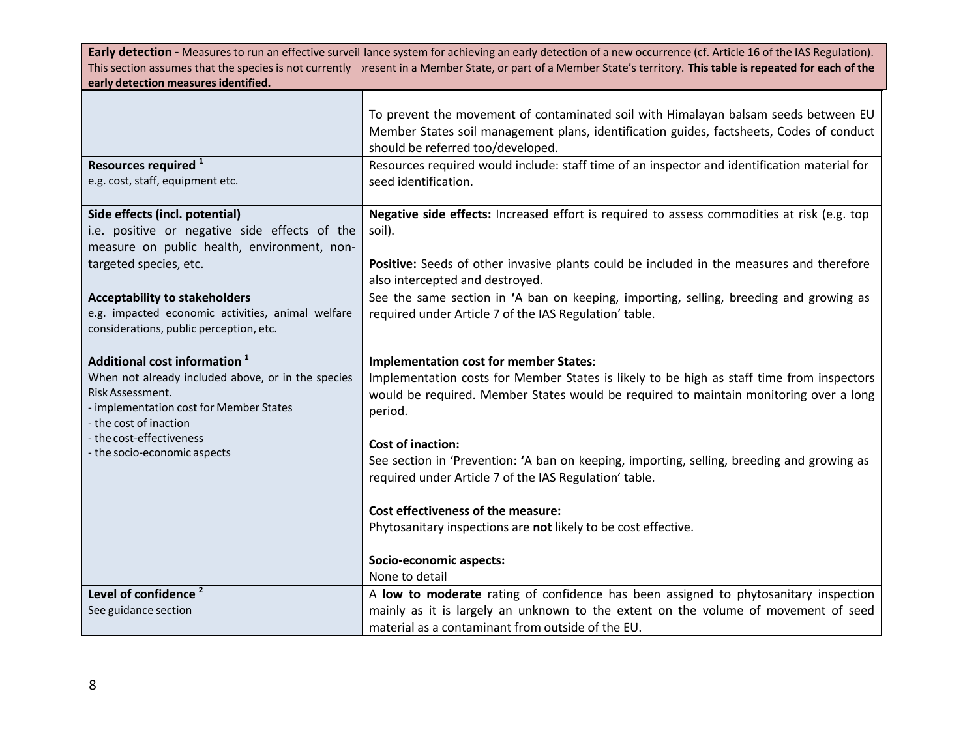| Early detection - Measures to run an effective surveil lance system for achieving an early detection of a new occurrence (cf. Article 16 of the IAS Regulation).                                                                                    |                                                                                                                                                                                                                                                                                                                                                                                                                                                                                                                                                                       |
|-----------------------------------------------------------------------------------------------------------------------------------------------------------------------------------------------------------------------------------------------------|-----------------------------------------------------------------------------------------------------------------------------------------------------------------------------------------------------------------------------------------------------------------------------------------------------------------------------------------------------------------------------------------------------------------------------------------------------------------------------------------------------------------------------------------------------------------------|
| This section assumes that the species is not currently resent in a Member State, or part of a Member State's territory. This table is repeated for each of the                                                                                      |                                                                                                                                                                                                                                                                                                                                                                                                                                                                                                                                                                       |
| early detection measures identified.                                                                                                                                                                                                                |                                                                                                                                                                                                                                                                                                                                                                                                                                                                                                                                                                       |
| Resources required <sup>1</sup><br>e.g. cost, staff, equipment etc.                                                                                                                                                                                 | To prevent the movement of contaminated soil with Himalayan balsam seeds between EU<br>Member States soil management plans, identification guides, factsheets, Codes of conduct<br>should be referred too/developed.<br>Resources required would include: staff time of an inspector and identification material for<br>seed identification.                                                                                                                                                                                                                          |
| Side effects (incl. potential)<br>i.e. positive or negative side effects of the<br>measure on public health, environment, non-<br>targeted species, etc.                                                                                            | Negative side effects: Increased effort is required to assess commodities at risk (e.g. top<br>soil).<br>Positive: Seeds of other invasive plants could be included in the measures and therefore<br>also intercepted and destroyed.                                                                                                                                                                                                                                                                                                                                  |
| <b>Acceptability to stakeholders</b><br>e.g. impacted economic activities, animal welfare<br>considerations, public perception, etc.                                                                                                                | See the same section in 'A ban on keeping, importing, selling, breeding and growing as<br>required under Article 7 of the IAS Regulation' table.                                                                                                                                                                                                                                                                                                                                                                                                                      |
| Additional cost information <sup>1</sup><br>When not already included above, or in the species<br>Risk Assessment.<br>- implementation cost for Member States<br>- the cost of inaction<br>- the cost-effectiveness<br>- the socio-economic aspects | <b>Implementation cost for member States:</b><br>Implementation costs for Member States is likely to be high as staff time from inspectors<br>would be required. Member States would be required to maintain monitoring over a long<br>period.<br><b>Cost of inaction:</b><br>See section in 'Prevention: 'A ban on keeping, importing, selling, breeding and growing as<br>required under Article 7 of the IAS Regulation' table.<br>Cost effectiveness of the measure:<br>Phytosanitary inspections are not likely to be cost effective.<br>Socio-economic aspects: |
|                                                                                                                                                                                                                                                     | None to detail                                                                                                                                                                                                                                                                                                                                                                                                                                                                                                                                                        |
| Level of confidence <sup>2</sup><br>See guidance section                                                                                                                                                                                            | A low to moderate rating of confidence has been assigned to phytosanitary inspection<br>mainly as it is largely an unknown to the extent on the volume of movement of seed<br>material as a contaminant from outside of the EU.                                                                                                                                                                                                                                                                                                                                       |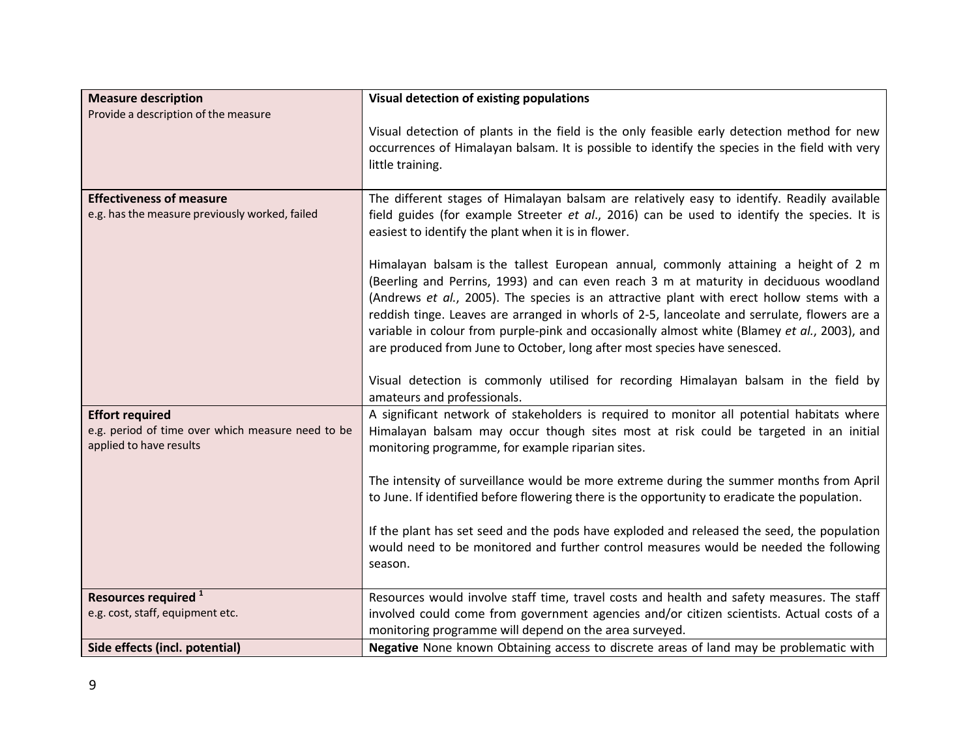| <b>Measure description</b>                        | Visual detection of existing populations                                                                                                                                                     |
|---------------------------------------------------|----------------------------------------------------------------------------------------------------------------------------------------------------------------------------------------------|
| Provide a description of the measure              |                                                                                                                                                                                              |
|                                                   | Visual detection of plants in the field is the only feasible early detection method for new                                                                                                  |
|                                                   | occurrences of Himalayan balsam. It is possible to identify the species in the field with very                                                                                               |
|                                                   | little training.                                                                                                                                                                             |
|                                                   |                                                                                                                                                                                              |
| <b>Effectiveness of measure</b>                   | The different stages of Himalayan balsam are relatively easy to identify. Readily available                                                                                                  |
| e.g. has the measure previously worked, failed    | field guides (for example Streeter et al., 2016) can be used to identify the species. It is                                                                                                  |
|                                                   | easiest to identify the plant when it is in flower.                                                                                                                                          |
|                                                   |                                                                                                                                                                                              |
|                                                   | Himalayan balsam is the tallest European annual, commonly attaining a height of 2 m                                                                                                          |
|                                                   | (Beerling and Perrins, 1993) and can even reach 3 m at maturity in deciduous woodland                                                                                                        |
|                                                   | (Andrews et al., 2005). The species is an attractive plant with erect hollow stems with a                                                                                                    |
|                                                   | reddish tinge. Leaves are arranged in whorls of 2-5, lanceolate and serrulate, flowers are a<br>variable in colour from purple-pink and occasionally almost white (Blamey et al., 2003), and |
|                                                   | are produced from June to October, long after most species have senesced.                                                                                                                    |
|                                                   |                                                                                                                                                                                              |
|                                                   | Visual detection is commonly utilised for recording Himalayan balsam in the field by                                                                                                         |
|                                                   | amateurs and professionals.                                                                                                                                                                  |
| <b>Effort required</b>                            | A significant network of stakeholders is required to monitor all potential habitats where                                                                                                    |
| e.g. period of time over which measure need to be | Himalayan balsam may occur though sites most at risk could be targeted in an initial                                                                                                         |
| applied to have results                           | monitoring programme, for example riparian sites.                                                                                                                                            |
|                                                   |                                                                                                                                                                                              |
|                                                   | The intensity of surveillance would be more extreme during the summer months from April                                                                                                      |
|                                                   | to June. If identified before flowering there is the opportunity to eradicate the population.                                                                                                |
|                                                   |                                                                                                                                                                                              |
|                                                   | If the plant has set seed and the pods have exploded and released the seed, the population                                                                                                   |
|                                                   | would need to be monitored and further control measures would be needed the following                                                                                                        |
|                                                   | season.                                                                                                                                                                                      |
| Resources required <sup>1</sup>                   | Resources would involve staff time, travel costs and health and safety measures. The staff                                                                                                   |
| e.g. cost, staff, equipment etc.                  | involved could come from government agencies and/or citizen scientists. Actual costs of a                                                                                                    |
|                                                   | monitoring programme will depend on the area surveyed.                                                                                                                                       |
| Side effects (incl. potential)                    | Negative None known Obtaining access to discrete areas of land may be problematic with                                                                                                       |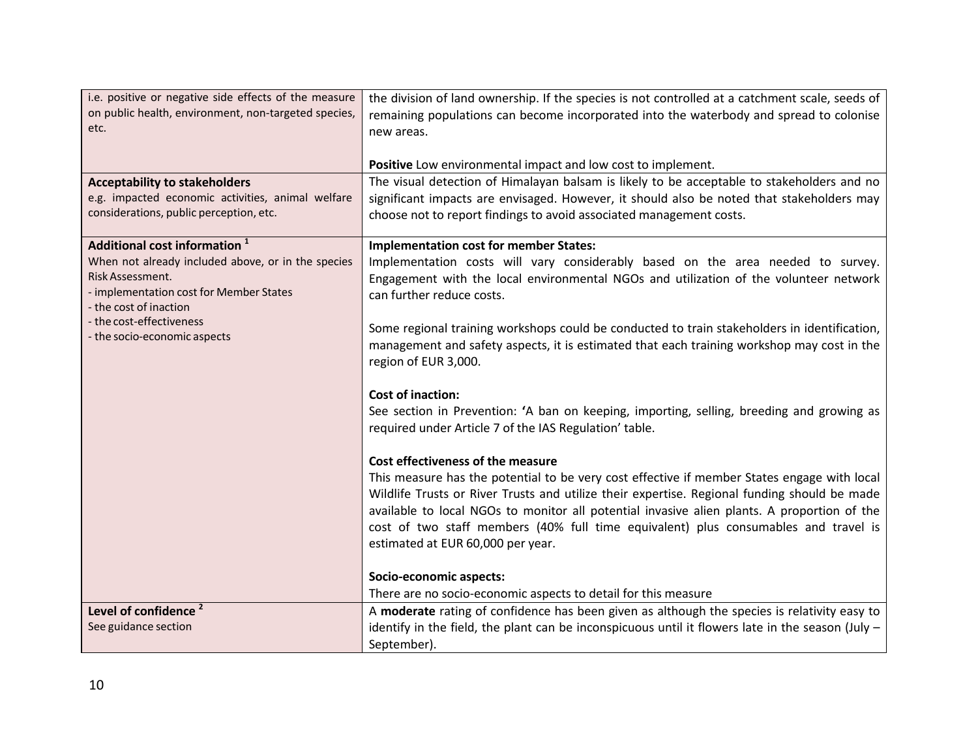| i.e. positive or negative side effects of the measure<br>on public health, environment, non-targeted species,<br>etc. | the division of land ownership. If the species is not controlled at a catchment scale, seeds of<br>remaining populations can become incorporated into the waterbody and spread to colonise |
|-----------------------------------------------------------------------------------------------------------------------|--------------------------------------------------------------------------------------------------------------------------------------------------------------------------------------------|
|                                                                                                                       | new areas.                                                                                                                                                                                 |
|                                                                                                                       | Positive Low environmental impact and low cost to implement.                                                                                                                               |
| <b>Acceptability to stakeholders</b>                                                                                  | The visual detection of Himalayan balsam is likely to be acceptable to stakeholders and no                                                                                                 |
| e.g. impacted economic activities, animal welfare                                                                     | significant impacts are envisaged. However, it should also be noted that stakeholders may                                                                                                  |
| considerations, public perception, etc.                                                                               | choose not to report findings to avoid associated management costs.                                                                                                                        |
| Additional cost information <sup>1</sup>                                                                              | <b>Implementation cost for member States:</b>                                                                                                                                              |
| When not already included above, or in the species                                                                    | Implementation costs will vary considerably based on the area needed to survey.                                                                                                            |
| Risk Assessment.<br>- implementation cost for Member States                                                           | Engagement with the local environmental NGOs and utilization of the volunteer network                                                                                                      |
| - the cost of inaction                                                                                                | can further reduce costs.                                                                                                                                                                  |
| - the cost-effectiveness                                                                                              | Some regional training workshops could be conducted to train stakeholders in identification,                                                                                               |
| - the socio-economic aspects                                                                                          | management and safety aspects, it is estimated that each training workshop may cost in the                                                                                                 |
|                                                                                                                       | region of EUR 3,000.                                                                                                                                                                       |
|                                                                                                                       | <b>Cost of inaction:</b>                                                                                                                                                                   |
|                                                                                                                       | See section in Prevention: 'A ban on keeping, importing, selling, breeding and growing as                                                                                                  |
|                                                                                                                       | required under Article 7 of the IAS Regulation' table.                                                                                                                                     |
|                                                                                                                       | Cost effectiveness of the measure                                                                                                                                                          |
|                                                                                                                       | This measure has the potential to be very cost effective if member States engage with local                                                                                                |
|                                                                                                                       | Wildlife Trusts or River Trusts and utilize their expertise. Regional funding should be made                                                                                               |
|                                                                                                                       | available to local NGOs to monitor all potential invasive alien plants. A proportion of the                                                                                                |
|                                                                                                                       | cost of two staff members (40% full time equivalent) plus consumables and travel is<br>estimated at EUR 60,000 per year.                                                                   |
|                                                                                                                       |                                                                                                                                                                                            |
|                                                                                                                       | Socio-economic aspects:                                                                                                                                                                    |
|                                                                                                                       | There are no socio-economic aspects to detail for this measure                                                                                                                             |
| Level of confidence <sup>2</sup>                                                                                      | A moderate rating of confidence has been given as although the species is relativity easy to                                                                                               |
| See guidance section                                                                                                  | identify in the field, the plant can be inconspicuous until it flowers late in the season (July $-$<br>September).                                                                         |
|                                                                                                                       |                                                                                                                                                                                            |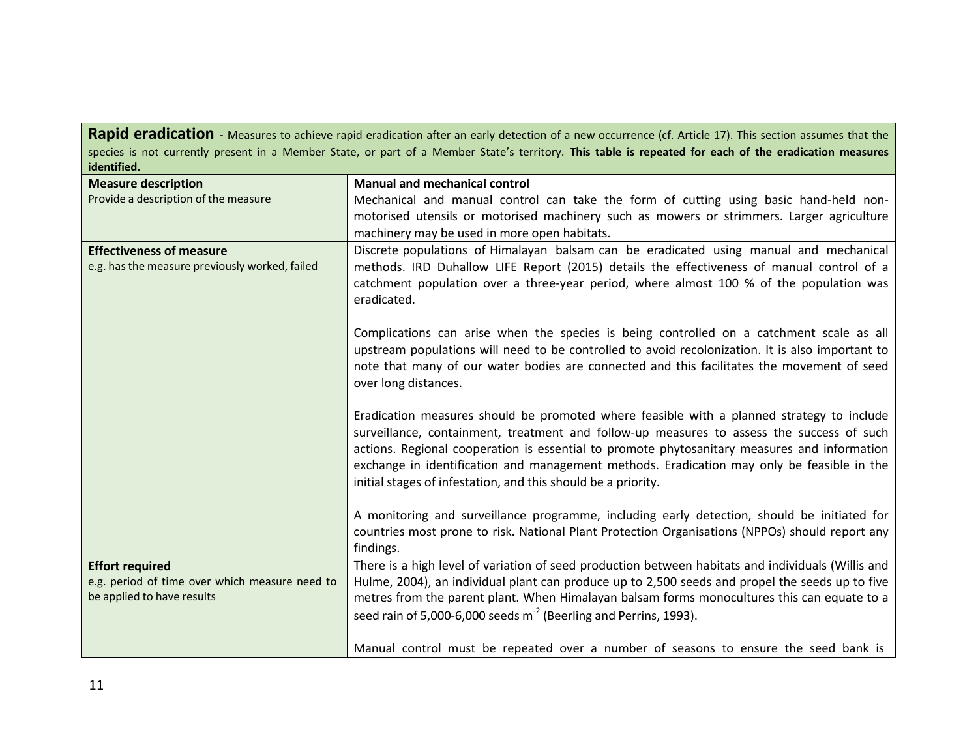Rapid eradication - Measures to achieve rapid eradication after an early detection of a new occurrence (cf. Article 17). This section assumes that the species is not currently present in a Member State, or part of a Member State's territory. **This table is repeated for each of the eradication measures identified.**

| <b>Measure description</b>                                                                             | <b>Manual and mechanical control</b>                                                                                                                                                                                                                                                                                                                                                                                                                  |
|--------------------------------------------------------------------------------------------------------|-------------------------------------------------------------------------------------------------------------------------------------------------------------------------------------------------------------------------------------------------------------------------------------------------------------------------------------------------------------------------------------------------------------------------------------------------------|
| Provide a description of the measure                                                                   | Mechanical and manual control can take the form of cutting using basic hand-held non-                                                                                                                                                                                                                                                                                                                                                                 |
|                                                                                                        | motorised utensils or motorised machinery such as mowers or strimmers. Larger agriculture                                                                                                                                                                                                                                                                                                                                                             |
|                                                                                                        | machinery may be used in more open habitats.                                                                                                                                                                                                                                                                                                                                                                                                          |
| <b>Effectiveness of measure</b><br>e.g. has the measure previously worked, failed                      | Discrete populations of Himalayan balsam can be eradicated using manual and mechanical<br>methods. IRD Duhallow LIFE Report (2015) details the effectiveness of manual control of a<br>catchment population over a three-year period, where almost 100 % of the population was<br>eradicated.                                                                                                                                                         |
|                                                                                                        | Complications can arise when the species is being controlled on a catchment scale as all<br>upstream populations will need to be controlled to avoid recolonization. It is also important to<br>note that many of our water bodies are connected and this facilitates the movement of seed<br>over long distances.                                                                                                                                    |
|                                                                                                        | Eradication measures should be promoted where feasible with a planned strategy to include<br>surveillance, containment, treatment and follow-up measures to assess the success of such<br>actions. Regional cooperation is essential to promote phytosanitary measures and information<br>exchange in identification and management methods. Eradication may only be feasible in the<br>initial stages of infestation, and this should be a priority. |
|                                                                                                        | A monitoring and surveillance programme, including early detection, should be initiated for<br>countries most prone to risk. National Plant Protection Organisations (NPPOs) should report any<br>findings.                                                                                                                                                                                                                                           |
| <b>Effort required</b><br>e.g. period of time over which measure need to<br>be applied to have results | There is a high level of variation of seed production between habitats and individuals (Willis and<br>Hulme, 2004), an individual plant can produce up to 2,500 seeds and propel the seeds up to five<br>metres from the parent plant. When Himalayan balsam forms monocultures this can equate to a<br>seed rain of 5,000-6,000 seeds $m-2$ (Beerling and Perrins, 1993).                                                                            |
|                                                                                                        | Manual control must be repeated over a number of seasons to ensure the seed bank is                                                                                                                                                                                                                                                                                                                                                                   |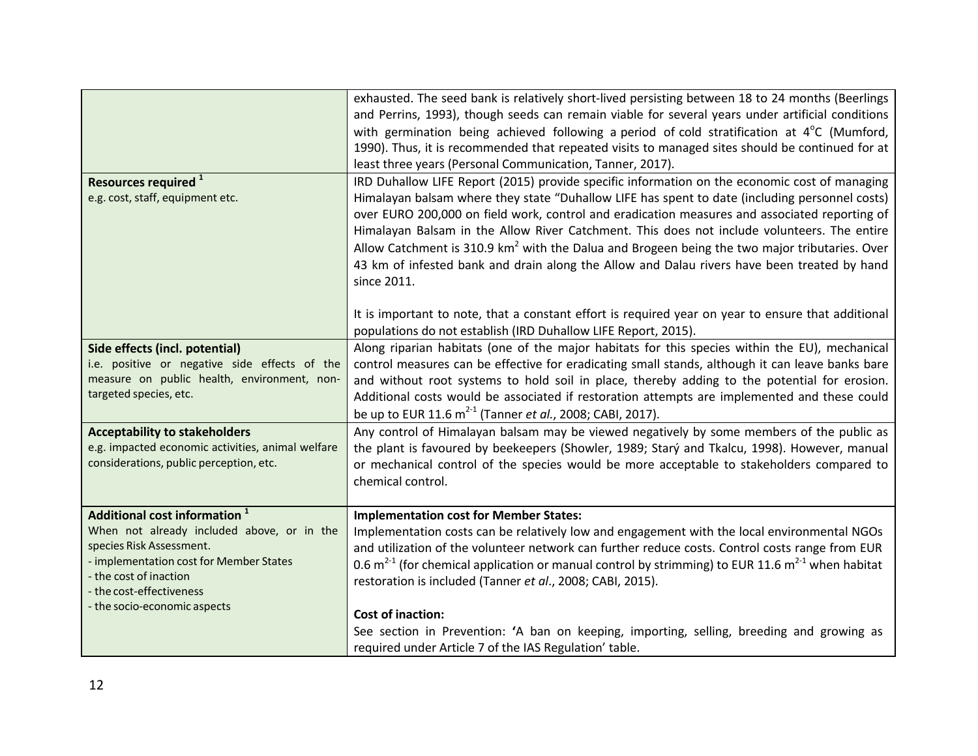|                                                                                                                                                                                                                     | exhausted. The seed bank is relatively short-lived persisting between 18 to 24 months (Beerlings<br>and Perrins, 1993), though seeds can remain viable for several years under artificial conditions                                                                                                                                                                                                                                                                                                                                                                                                                       |
|---------------------------------------------------------------------------------------------------------------------------------------------------------------------------------------------------------------------|----------------------------------------------------------------------------------------------------------------------------------------------------------------------------------------------------------------------------------------------------------------------------------------------------------------------------------------------------------------------------------------------------------------------------------------------------------------------------------------------------------------------------------------------------------------------------------------------------------------------------|
|                                                                                                                                                                                                                     | with germination being achieved following a period of cold stratification at $4^{\circ}$ C (Mumford,<br>1990). Thus, it is recommended that repeated visits to managed sites should be continued for at<br>least three years (Personal Communication, Tanner, 2017).                                                                                                                                                                                                                                                                                                                                                       |
| Resources required <sup>1</sup><br>e.g. cost, staff, equipment etc.                                                                                                                                                 | IRD Duhallow LIFE Report (2015) provide specific information on the economic cost of managing<br>Himalayan balsam where they state "Duhallow LIFE has spent to date (including personnel costs)<br>over EURO 200,000 on field work, control and eradication measures and associated reporting of<br>Himalayan Balsam in the Allow River Catchment. This does not include volunteers. The entire<br>Allow Catchment is 310.9 km <sup>2</sup> with the Dalua and Brogeen being the two major tributaries. Over<br>43 km of infested bank and drain along the Allow and Dalau rivers have been treated by hand<br>since 2011. |
|                                                                                                                                                                                                                     | It is important to note, that a constant effort is required year on year to ensure that additional<br>populations do not establish (IRD Duhallow LIFE Report, 2015).                                                                                                                                                                                                                                                                                                                                                                                                                                                       |
| Side effects (incl. potential)<br>i.e. positive or negative side effects of the<br>measure on public health, environment, non-<br>targeted species, etc.                                                            | Along riparian habitats (one of the major habitats for this species within the EU), mechanical<br>control measures can be effective for eradicating small stands, although it can leave banks bare<br>and without root systems to hold soil in place, thereby adding to the potential for erosion.<br>Additional costs would be associated if restoration attempts are implemented and these could<br>be up to EUR 11.6 $m^{2-1}$ (Tanner <i>et al.</i> , 2008; CABI, 2017).                                                                                                                                               |
| <b>Acceptability to stakeholders</b><br>e.g. impacted economic activities, animal welfare<br>considerations, public perception, etc.                                                                                | Any control of Himalayan balsam may be viewed negatively by some members of the public as<br>the plant is favoured by beekeepers (Showler, 1989; Starý and Tkalcu, 1998). However, manual<br>or mechanical control of the species would be more acceptable to stakeholders compared to<br>chemical control.                                                                                                                                                                                                                                                                                                                |
| Additional cost information <sup>1</sup><br>When not already included above, or in the<br>species Risk Assessment.<br>- implementation cost for Member States<br>- the cost of inaction<br>- the cost-effectiveness | <b>Implementation cost for Member States:</b><br>Implementation costs can be relatively low and engagement with the local environmental NGOs<br>and utilization of the volunteer network can further reduce costs. Control costs range from EUR<br>0.6 $m^{2-1}$ (for chemical application or manual control by strimming) to EUR 11.6 $m^{2-1}$ when habitat<br>restoration is included (Tanner et al., 2008; CABI, 2015).                                                                                                                                                                                                |
| - the socio-economic aspects                                                                                                                                                                                        | <b>Cost of inaction:</b><br>See section in Prevention: 'A ban on keeping, importing, selling, breeding and growing as<br>required under Article 7 of the IAS Regulation' table.                                                                                                                                                                                                                                                                                                                                                                                                                                            |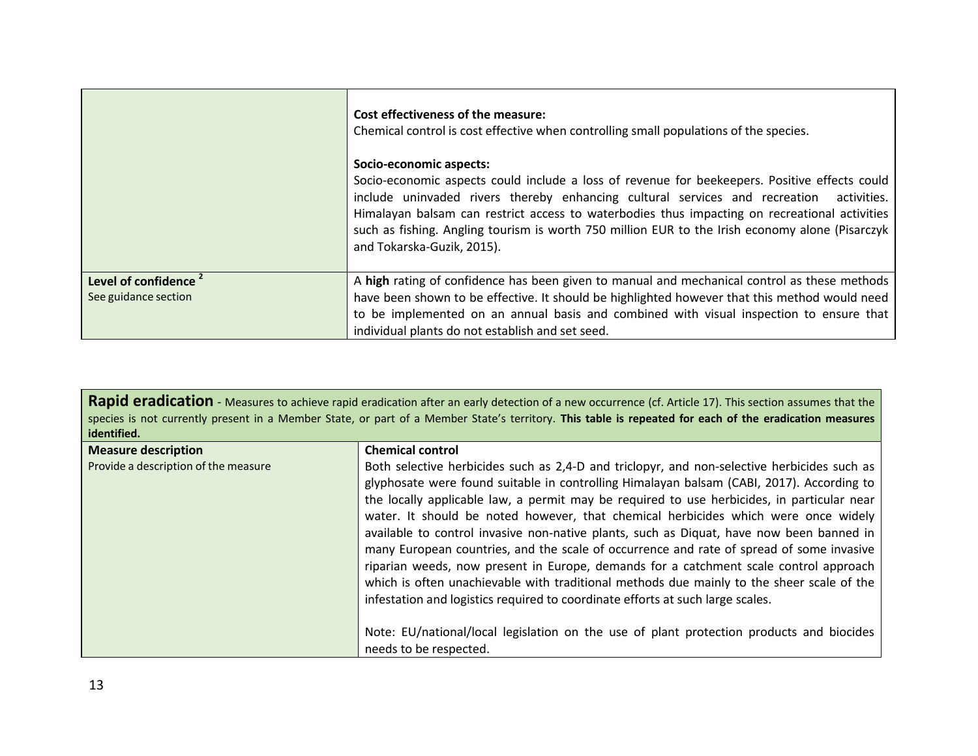|                                                          | Cost effectiveness of the measure:<br>Chemical control is cost effective when controlling small populations of the species.<br>Socio-economic aspects:<br>Socio-economic aspects could include a loss of revenue for beekeepers. Positive effects could<br>include uninvaded rivers thereby enhancing cultural services and recreation<br>activities.<br>Himalayan balsam can restrict access to waterbodies thus impacting on recreational activities<br>such as fishing. Angling tourism is worth 750 million EUR to the Irish economy alone (Pisarczyk<br>and Tokarska-Guzik, 2015). |
|----------------------------------------------------------|-----------------------------------------------------------------------------------------------------------------------------------------------------------------------------------------------------------------------------------------------------------------------------------------------------------------------------------------------------------------------------------------------------------------------------------------------------------------------------------------------------------------------------------------------------------------------------------------|
| Level of confidence <sup>2</sup><br>See guidance section | A high rating of confidence has been given to manual and mechanical control as these methods<br>have been shown to be effective. It should be highlighted however that this method would need<br>to be implemented on an annual basis and combined with visual inspection to ensure that<br>individual plants do not establish and set seed.                                                                                                                                                                                                                                            |

Rapid eradication - Measures to achieve rapid eradication after an early detection of a new occurrence (cf. Article 17). This section assumes that the species is not currently present in a Member State, or part of a Member State's territory. **This table is repeated for each of the eradication measures identified.**

| <b>Measure description</b>           | <b>Chemical control</b>                                                                     |
|--------------------------------------|---------------------------------------------------------------------------------------------|
| Provide a description of the measure | Both selective herbicides such as 2,4-D and triclopyr, and non-selective herbicides such as |
|                                      | glyphosate were found suitable in controlling Himalayan balsam (CABI, 2017). According to   |
|                                      | the locally applicable law, a permit may be required to use herbicides, in particular near  |
|                                      | water. It should be noted however, that chemical herbicides which were once widely          |
|                                      | available to control invasive non-native plants, such as Diquat, have now been banned in    |
|                                      | many European countries, and the scale of occurrence and rate of spread of some invasive    |
|                                      | riparian weeds, now present in Europe, demands for a catchment scale control approach       |
|                                      | which is often unachievable with traditional methods due mainly to the sheer scale of the   |
|                                      | infestation and logistics required to coordinate efforts at such large scales.              |
|                                      |                                                                                             |
|                                      | Note: EU/national/local legislation on the use of plant protection products and biocides    |
|                                      | needs to be respected.                                                                      |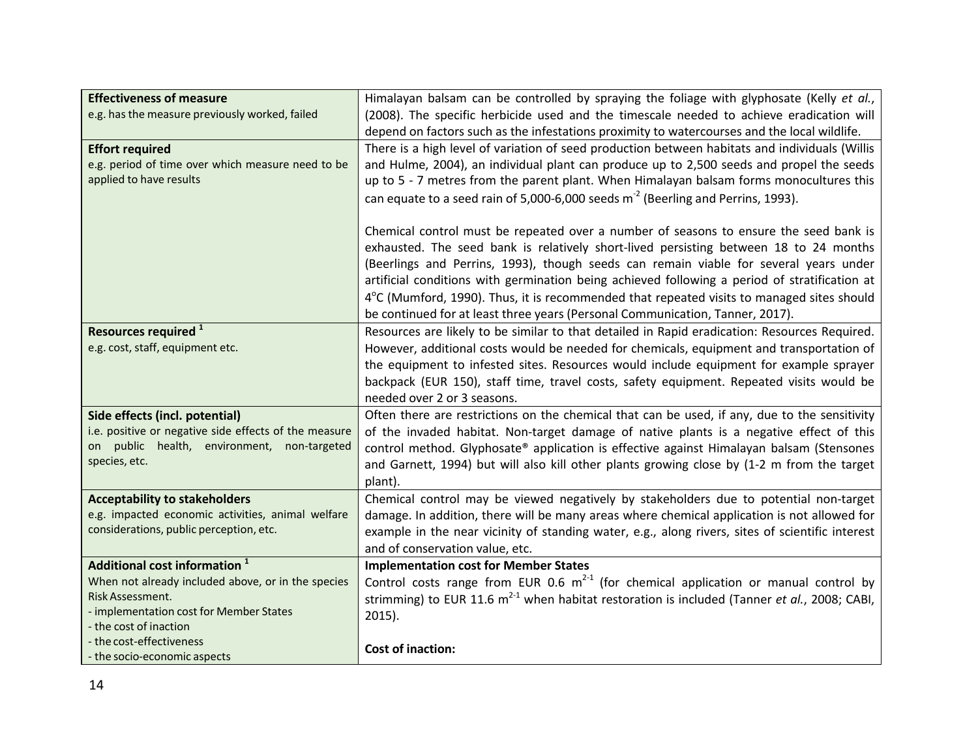| <b>Effectiveness of measure</b>                       | Himalayan balsam can be controlled by spraying the foliage with glyphosate (Kelly et al.,         |
|-------------------------------------------------------|---------------------------------------------------------------------------------------------------|
| e.g. has the measure previously worked, failed        | (2008). The specific herbicide used and the timescale needed to achieve eradication will          |
|                                                       | depend on factors such as the infestations proximity to watercourses and the local wildlife.      |
| <b>Effort required</b>                                | There is a high level of variation of seed production between habitats and individuals (Willis    |
| e.g. period of time over which measure need to be     | and Hulme, 2004), an individual plant can produce up to 2,500 seeds and propel the seeds          |
| applied to have results                               | up to 5 - 7 metres from the parent plant. When Himalayan balsam forms monocultures this           |
|                                                       | can equate to a seed rain of 5,000-6,000 seeds $m2$ (Beerling and Perrins, 1993).                 |
|                                                       |                                                                                                   |
|                                                       | Chemical control must be repeated over a number of seasons to ensure the seed bank is             |
|                                                       | exhausted. The seed bank is relatively short-lived persisting between 18 to 24 months             |
|                                                       | (Beerlings and Perrins, 1993), though seeds can remain viable for several years under             |
|                                                       | artificial conditions with germination being achieved following a period of stratification at     |
|                                                       | 4°C (Mumford, 1990). Thus, it is recommended that repeated visits to managed sites should         |
|                                                       | be continued for at least three years (Personal Communication, Tanner, 2017).                     |
| Resources required <sup>1</sup>                       | Resources are likely to be similar to that detailed in Rapid eradication: Resources Required.     |
| e.g. cost, staff, equipment etc.                      | However, additional costs would be needed for chemicals, equipment and transportation of          |
|                                                       | the equipment to infested sites. Resources would include equipment for example sprayer            |
|                                                       | backpack (EUR 150), staff time, travel costs, safety equipment. Repeated visits would be          |
|                                                       | needed over 2 or 3 seasons.                                                                       |
| Side effects (incl. potential)                        | Often there are restrictions on the chemical that can be used, if any, due to the sensitivity     |
| i.e. positive or negative side effects of the measure | of the invaded habitat. Non-target damage of native plants is a negative effect of this           |
| public health, environment, non-targeted<br>on        | control method. Glyphosate® application is effective against Himalayan balsam (Stensones          |
| species, etc.                                         | and Garnett, 1994) but will also kill other plants growing close by (1-2 m from the target        |
|                                                       | plant).                                                                                           |
| <b>Acceptability to stakeholders</b>                  | Chemical control may be viewed negatively by stakeholders due to potential non-target             |
| e.g. impacted economic activities, animal welfare     | damage. In addition, there will be many areas where chemical application is not allowed for       |
| considerations, public perception, etc.               | example in the near vicinity of standing water, e.g., along rivers, sites of scientific interest  |
|                                                       | and of conservation value, etc.                                                                   |
| Additional cost information <sup>1</sup>              | <b>Implementation cost for Member States</b>                                                      |
| When not already included above, or in the species    | Control costs range from EUR 0.6 $m^{2-1}$ (for chemical application or manual control by         |
| Risk Assessment.                                      | strimming) to EUR 11.6 $m^{2-1}$ when habitat restoration is included (Tanner et al., 2008; CABI, |
| - implementation cost for Member States               | $2015$ ).                                                                                         |
| - the cost of inaction                                |                                                                                                   |
| - the cost-effectiveness                              | <b>Cost of inaction:</b>                                                                          |
| - the socio-economic aspects                          |                                                                                                   |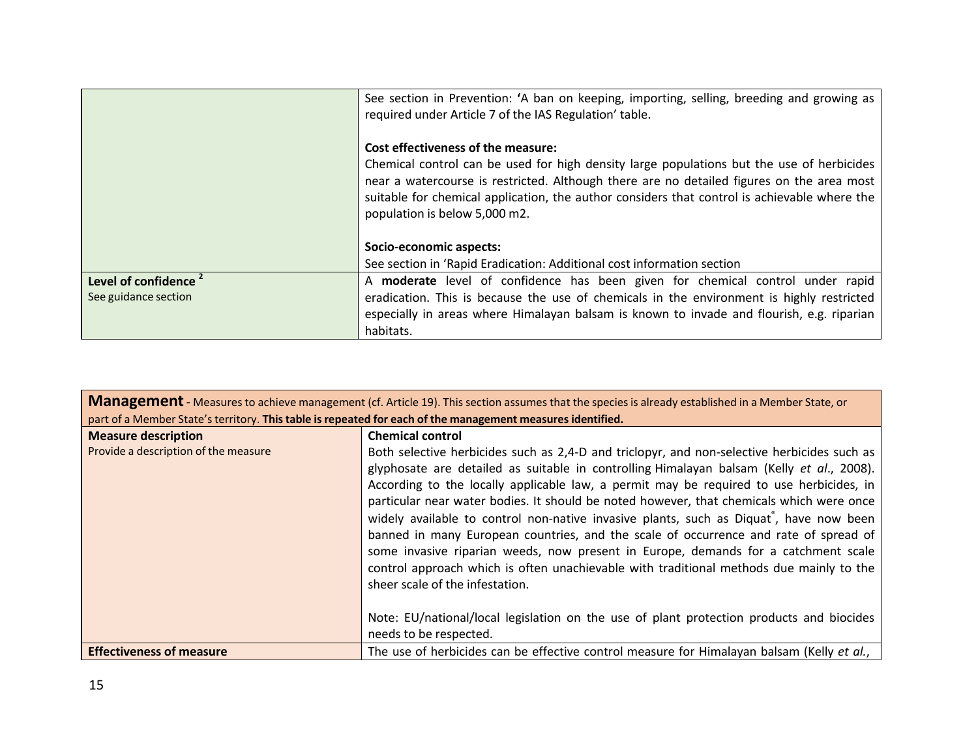|                                  | See section in Prevention: 'A ban on keeping, importing, selling, breeding and growing as<br>required under Article 7 of the IAS Regulation' table.                                                                                                                                                                                                           |
|----------------------------------|---------------------------------------------------------------------------------------------------------------------------------------------------------------------------------------------------------------------------------------------------------------------------------------------------------------------------------------------------------------|
|                                  | Cost effectiveness of the measure:<br>Chemical control can be used for high density large populations but the use of herbicides<br>near a watercourse is restricted. Although there are no detailed figures on the area most<br>suitable for chemical application, the author considers that control is achievable where the<br>population is below 5,000 m2. |
|                                  | Socio-economic aspects:                                                                                                                                                                                                                                                                                                                                       |
|                                  | See section in 'Rapid Eradication: Additional cost information section                                                                                                                                                                                                                                                                                        |
| Level of confidence <sup>2</sup> | A moderate level of confidence has been given for chemical control under rapid                                                                                                                                                                                                                                                                                |
| See guidance section             | eradication. This is because the use of chemicals in the environment is highly restricted                                                                                                                                                                                                                                                                     |
|                                  | especially in areas where Himalayan balsam is known to invade and flourish, e.g. riparian                                                                                                                                                                                                                                                                     |
|                                  | habitats.                                                                                                                                                                                                                                                                                                                                                     |

| <b>Management</b> - Measures to achieve management (cf. Article 19). This section assumes that the species is already established in a Member State, or |                                                                                                                                                                                                                                                                                                                                                                                                                                                                                                                                                                                                                                                                                                                                                                                                                               |
|---------------------------------------------------------------------------------------------------------------------------------------------------------|-------------------------------------------------------------------------------------------------------------------------------------------------------------------------------------------------------------------------------------------------------------------------------------------------------------------------------------------------------------------------------------------------------------------------------------------------------------------------------------------------------------------------------------------------------------------------------------------------------------------------------------------------------------------------------------------------------------------------------------------------------------------------------------------------------------------------------|
| part of a Member State's territory. This table is repeated for each of the management measures identified.                                              |                                                                                                                                                                                                                                                                                                                                                                                                                                                                                                                                                                                                                                                                                                                                                                                                                               |
| <b>Measure description</b><br>Provide a description of the measure                                                                                      | <b>Chemical control</b><br>Both selective herbicides such as 2,4-D and triclopyr, and non-selective herbicides such as<br>glyphosate are detailed as suitable in controlling Himalayan balsam (Kelly et al., 2008).<br>According to the locally applicable law, a permit may be required to use herbicides, in<br>particular near water bodies. It should be noted however, that chemicals which were once<br>widely available to control non-native invasive plants, such as Diquat <sup>*</sup> , have now been<br>banned in many European countries, and the scale of occurrence and rate of spread of<br>some invasive riparian weeds, now present in Europe, demands for a catchment scale<br>control approach which is often unachievable with traditional methods due mainly to the<br>sheer scale of the infestation. |
|                                                                                                                                                         | Note: EU/national/local legislation on the use of plant protection products and biocides<br>needs to be respected.                                                                                                                                                                                                                                                                                                                                                                                                                                                                                                                                                                                                                                                                                                            |
| <b>Effectiveness of measure</b>                                                                                                                         | The use of herbicides can be effective control measure for Himalayan balsam (Kelly et al.,                                                                                                                                                                                                                                                                                                                                                                                                                                                                                                                                                                                                                                                                                                                                    |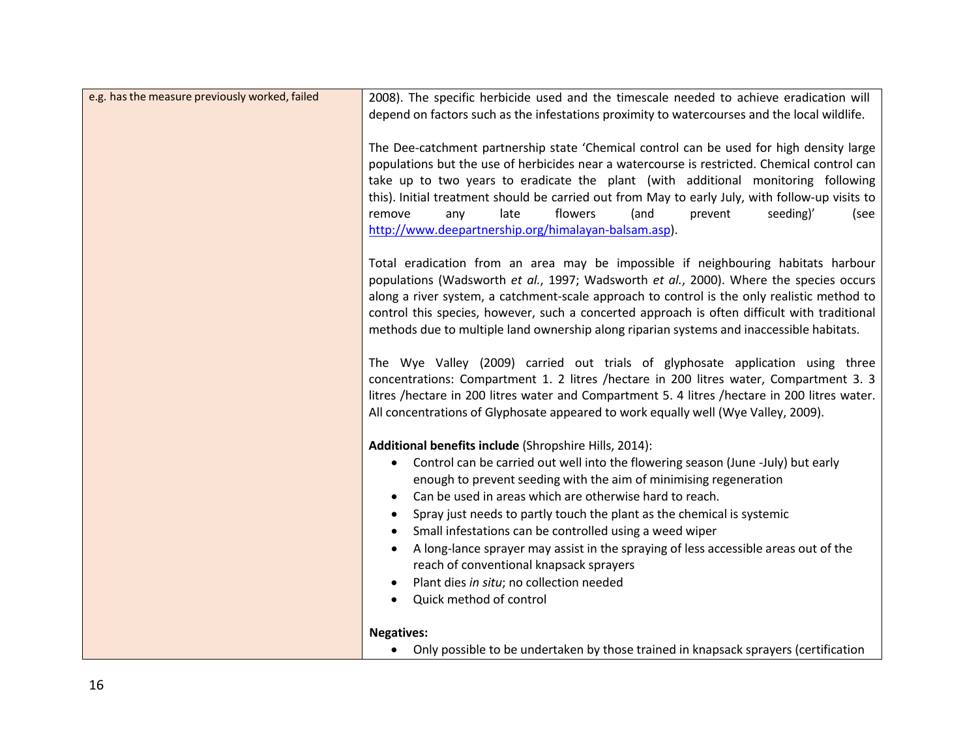| e.g. has the measure previously worked, failed | 2008). The specific herbicide used and the timescale needed to achieve eradication will<br>depend on factors such as the infestations proximity to watercourses and the local wildlife.                                                                                                                                                                                                                                                                                                                              |
|------------------------------------------------|----------------------------------------------------------------------------------------------------------------------------------------------------------------------------------------------------------------------------------------------------------------------------------------------------------------------------------------------------------------------------------------------------------------------------------------------------------------------------------------------------------------------|
|                                                |                                                                                                                                                                                                                                                                                                                                                                                                                                                                                                                      |
|                                                | The Dee-catchment partnership state 'Chemical control can be used for high density large<br>populations but the use of herbicides near a watercourse is restricted. Chemical control can<br>take up to two years to eradicate the plant (with additional monitoring following<br>this). Initial treatment should be carried out from May to early July, with follow-up visits to<br>flowers<br>late<br>(and<br>seeding)'<br>remove<br>prevent<br>any<br>(see<br>http://www.deepartnership.org/himalayan-balsam.asp). |
|                                                | Total eradication from an area may be impossible if neighbouring habitats harbour<br>populations (Wadsworth et al., 1997; Wadsworth et al., 2000). Where the species occurs<br>along a river system, a catchment-scale approach to control is the only realistic method to<br>control this species, however, such a concerted approach is often difficult with traditional<br>methods due to multiple land ownership along riparian systems and inaccessible habitats.                                               |
|                                                | The Wye Valley (2009) carried out trials of glyphosate application using three<br>concentrations: Compartment 1. 2 litres /hectare in 200 litres water, Compartment 3. 3<br>litres /hectare in 200 litres water and Compartment 5. 4 litres /hectare in 200 litres water.<br>All concentrations of Glyphosate appeared to work equally well (Wye Valley, 2009).                                                                                                                                                      |
|                                                | Additional benefits include (Shropshire Hills, 2014):                                                                                                                                                                                                                                                                                                                                                                                                                                                                |
|                                                | Control can be carried out well into the flowering season (June -July) but early<br>enough to prevent seeding with the aim of minimising regeneration                                                                                                                                                                                                                                                                                                                                                                |
|                                                | Can be used in areas which are otherwise hard to reach.<br>$\bullet$                                                                                                                                                                                                                                                                                                                                                                                                                                                 |
|                                                | Spray just needs to partly touch the plant as the chemical is systemic                                                                                                                                                                                                                                                                                                                                                                                                                                               |
|                                                | Small infestations can be controlled using a weed wiper                                                                                                                                                                                                                                                                                                                                                                                                                                                              |
|                                                | A long-lance sprayer may assist in the spraying of less accessible areas out of the<br>reach of conventional knapsack sprayers                                                                                                                                                                                                                                                                                                                                                                                       |
|                                                | Plant dies in situ; no collection needed                                                                                                                                                                                                                                                                                                                                                                                                                                                                             |
|                                                | Quick method of control                                                                                                                                                                                                                                                                                                                                                                                                                                                                                              |
|                                                | <b>Negatives:</b>                                                                                                                                                                                                                                                                                                                                                                                                                                                                                                    |
|                                                | • Only possible to be undertaken by those trained in knapsack sprayers (certification                                                                                                                                                                                                                                                                                                                                                                                                                                |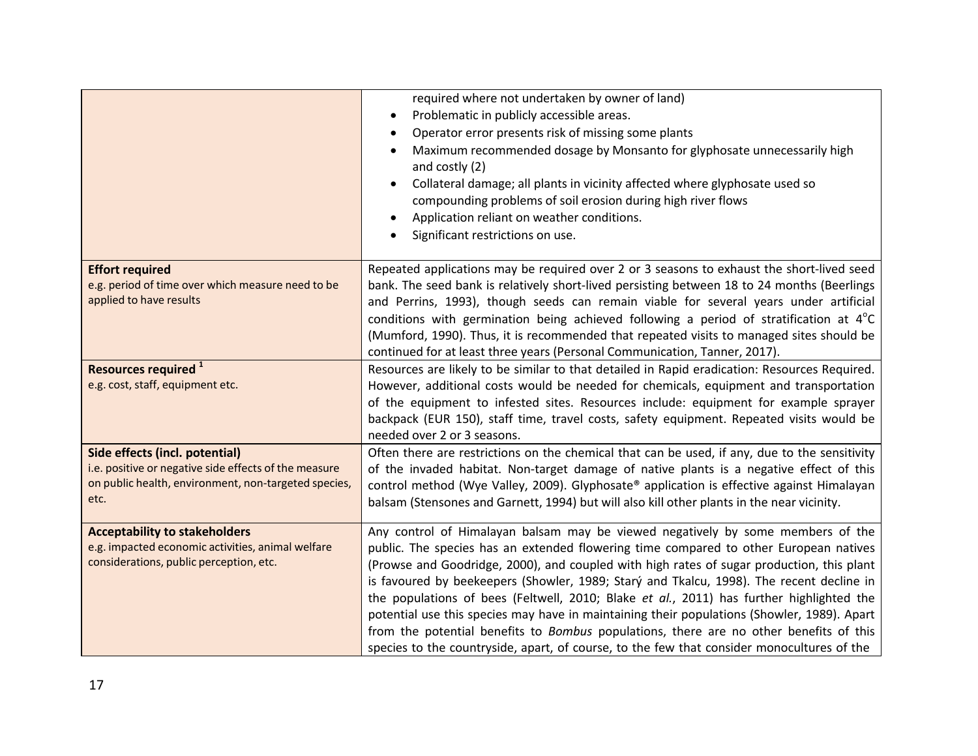|                                                                                                                                                         | required where not undertaken by owner of land)<br>Problematic in publicly accessible areas.<br>Operator error presents risk of missing some plants<br>Maximum recommended dosage by Monsanto for glyphosate unnecessarily high<br>and costly (2)<br>Collateral damage; all plants in vicinity affected where glyphosate used so<br>compounding problems of soil erosion during high river flows<br>Application reliant on weather conditions.<br>Significant restrictions on use.                                                                                                                                                                                                                                                                          |
|---------------------------------------------------------------------------------------------------------------------------------------------------------|-------------------------------------------------------------------------------------------------------------------------------------------------------------------------------------------------------------------------------------------------------------------------------------------------------------------------------------------------------------------------------------------------------------------------------------------------------------------------------------------------------------------------------------------------------------------------------------------------------------------------------------------------------------------------------------------------------------------------------------------------------------|
| <b>Effort required</b><br>e.g. period of time over which measure need to be<br>applied to have results                                                  | Repeated applications may be required over 2 or 3 seasons to exhaust the short-lived seed<br>bank. The seed bank is relatively short-lived persisting between 18 to 24 months (Beerlings<br>and Perrins, 1993), though seeds can remain viable for several years under artificial<br>conditions with germination being achieved following a period of stratification at 4 <sup>o</sup> C<br>(Mumford, 1990). Thus, it is recommended that repeated visits to managed sites should be<br>continued for at least three years (Personal Communication, Tanner, 2017).                                                                                                                                                                                          |
| Resources required <sup>1</sup><br>e.g. cost, staff, equipment etc.                                                                                     | Resources are likely to be similar to that detailed in Rapid eradication: Resources Required.<br>However, additional costs would be needed for chemicals, equipment and transportation<br>of the equipment to infested sites. Resources include: equipment for example sprayer<br>backpack (EUR 150), staff time, travel costs, safety equipment. Repeated visits would be<br>needed over 2 or 3 seasons.                                                                                                                                                                                                                                                                                                                                                   |
| Side effects (incl. potential)<br>i.e. positive or negative side effects of the measure<br>on public health, environment, non-targeted species,<br>etc. | Often there are restrictions on the chemical that can be used, if any, due to the sensitivity<br>of the invaded habitat. Non-target damage of native plants is a negative effect of this<br>control method (Wye Valley, 2009). Glyphosate® application is effective against Himalayan<br>balsam (Stensones and Garnett, 1994) but will also kill other plants in the near vicinity.                                                                                                                                                                                                                                                                                                                                                                         |
| <b>Acceptability to stakeholders</b><br>e.g. impacted economic activities, animal welfare<br>considerations, public perception, etc.                    | Any control of Himalayan balsam may be viewed negatively by some members of the<br>public. The species has an extended flowering time compared to other European natives<br>(Prowse and Goodridge, 2000), and coupled with high rates of sugar production, this plant<br>is favoured by beekeepers (Showler, 1989; Starý and Tkalcu, 1998). The recent decline in<br>the populations of bees (Feltwell, 2010; Blake et al., 2011) has further highlighted the<br>potential use this species may have in maintaining their populations (Showler, 1989). Apart<br>from the potential benefits to <i>Bombus</i> populations, there are no other benefits of this<br>species to the countryside, apart, of course, to the few that consider monocultures of the |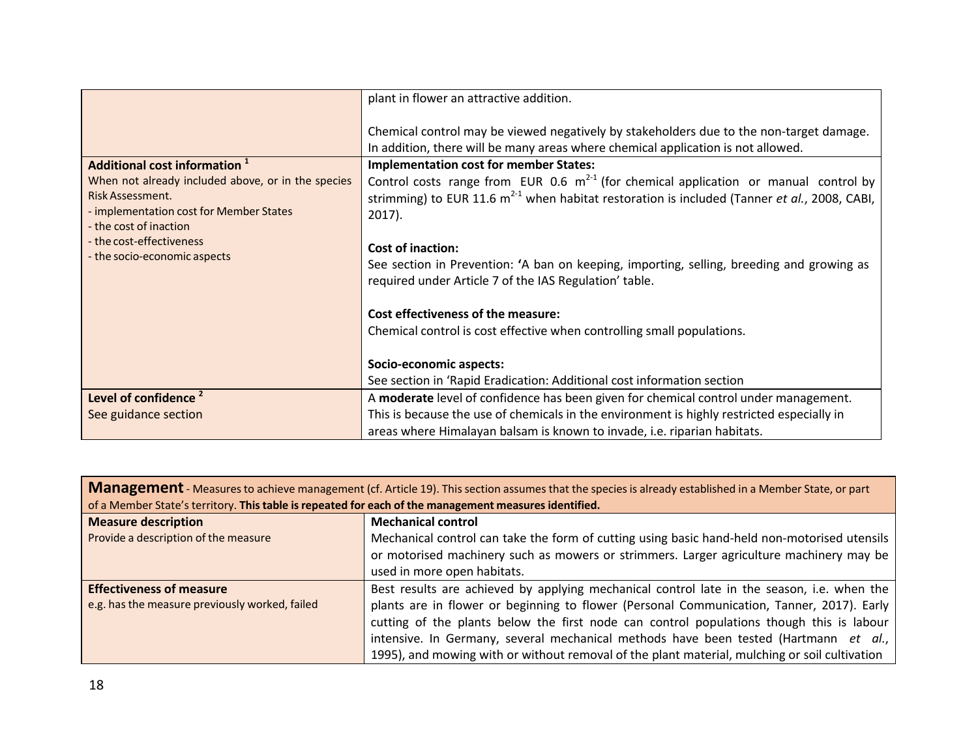|                                                    | plant in flower an attractive addition.                                                           |
|----------------------------------------------------|---------------------------------------------------------------------------------------------------|
|                                                    | Chemical control may be viewed negatively by stakeholders due to the non-target damage.           |
|                                                    | In addition, there will be many areas where chemical application is not allowed.                  |
| Additional cost information 1                      | <b>Implementation cost for member States:</b>                                                     |
| When not already included above, or in the species | Control costs range from EUR 0.6 $m^{2-1}$ (for chemical application or manual control by         |
| <b>Risk Assessment.</b>                            | strimming) to EUR 11.6 $m^{2-1}$ when habitat restoration is included (Tanner et al., 2008, CABI, |
| implementation cost for Member States              | $2017$ ).                                                                                         |
| - the cost of inaction<br>- the cost-effectiveness |                                                                                                   |
| - the socio-economic aspects                       | <b>Cost of inaction:</b>                                                                          |
|                                                    | See section in Prevention: 'A ban on keeping, importing, selling, breeding and growing as         |
|                                                    | required under Article 7 of the IAS Regulation' table.                                            |
|                                                    | <b>Cost effectiveness of the measure:</b>                                                         |
|                                                    |                                                                                                   |
|                                                    | Chemical control is cost effective when controlling small populations.                            |
|                                                    | Socio-economic aspects:                                                                           |
|                                                    |                                                                                                   |
|                                                    | See section in 'Rapid Eradication: Additional cost information section                            |
| Level of confidence <sup>2</sup>                   | A moderate level of confidence has been given for chemical control under management.              |
| See guidance section                               | This is because the use of chemicals in the environment is highly restricted especially in        |
|                                                    | areas where Himalayan balsam is known to invade, i.e. riparian habitats.                          |

Management - Measures to achieve management (cf. Article 19). This section assumes that the species is already established in a Member State, or part of a Member State's territory. **Thistable isrepeated for each of the management measures identified.**

| <b>Measure description</b>                     | <b>Mechanical control</b>                                                                     |
|------------------------------------------------|-----------------------------------------------------------------------------------------------|
| Provide a description of the measure           | Mechanical control can take the form of cutting using basic hand-held non-motorised utensils  |
|                                                | or motorised machinery such as mowers or strimmers. Larger agriculture machinery may be       |
|                                                | used in more open habitats.                                                                   |
| <b>Effectiveness of measure</b>                | Best results are achieved by applying mechanical control late in the season, i.e. when the    |
| e.g. has the measure previously worked, failed | plants are in flower or beginning to flower (Personal Communication, Tanner, 2017). Early     |
|                                                | cutting of the plants below the first node can control populations though this is labour      |
|                                                | intensive. In Germany, several mechanical methods have been tested (Hartmann et al.,          |
|                                                | 1995), and mowing with or without removal of the plant material, mulching or soil cultivation |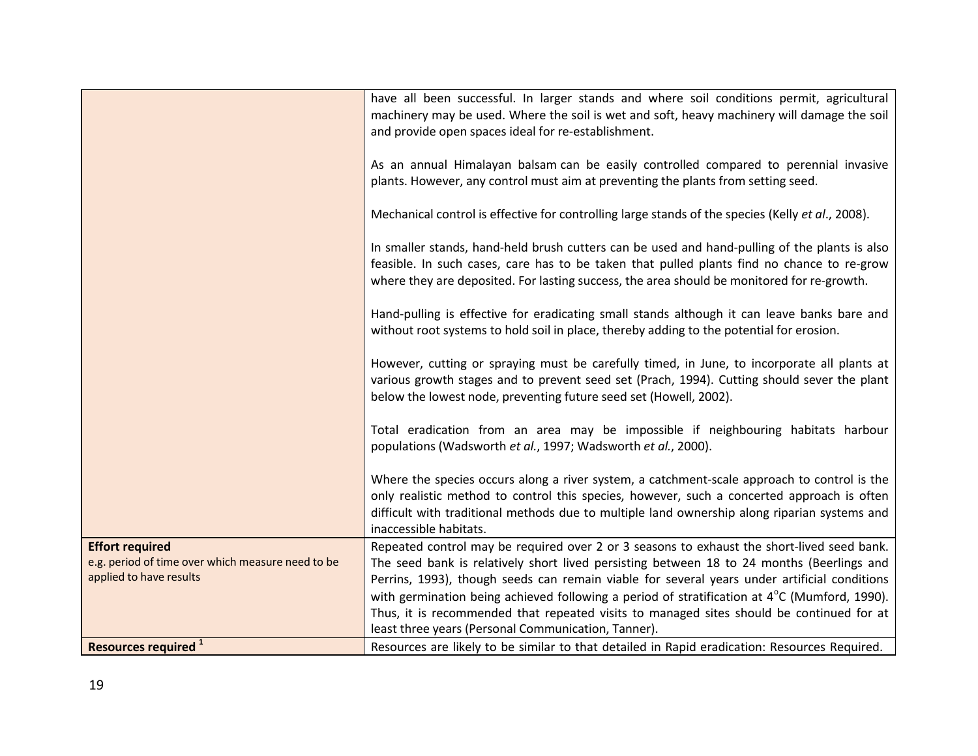|                                                                              | have all been successful. In larger stands and where soil conditions permit, agricultural<br>machinery may be used. Where the soil is wet and soft, heavy machinery will damage the soil<br>and provide open spaces ideal for re-establishment.                                                                     |
|------------------------------------------------------------------------------|---------------------------------------------------------------------------------------------------------------------------------------------------------------------------------------------------------------------------------------------------------------------------------------------------------------------|
|                                                                              | As an annual Himalayan balsam can be easily controlled compared to perennial invasive<br>plants. However, any control must aim at preventing the plants from setting seed.                                                                                                                                          |
|                                                                              | Mechanical control is effective for controlling large stands of the species (Kelly et al., 2008).                                                                                                                                                                                                                   |
|                                                                              | In smaller stands, hand-held brush cutters can be used and hand-pulling of the plants is also<br>feasible. In such cases, care has to be taken that pulled plants find no chance to re-grow<br>where they are deposited. For lasting success, the area should be monitored for re-growth.                           |
|                                                                              | Hand-pulling is effective for eradicating small stands although it can leave banks bare and<br>without root systems to hold soil in place, thereby adding to the potential for erosion.                                                                                                                             |
|                                                                              | However, cutting or spraying must be carefully timed, in June, to incorporate all plants at<br>various growth stages and to prevent seed set (Prach, 1994). Cutting should sever the plant<br>below the lowest node, preventing future seed set (Howell, 2002).                                                     |
|                                                                              | Total eradication from an area may be impossible if neighbouring habitats harbour<br>populations (Wadsworth et al., 1997; Wadsworth et al., 2000).                                                                                                                                                                  |
|                                                                              | Where the species occurs along a river system, a catchment-scale approach to control is the<br>only realistic method to control this species, however, such a concerted approach is often<br>difficult with traditional methods due to multiple land ownership along riparian systems and<br>inaccessible habitats. |
| <b>Effort required</b>                                                       | Repeated control may be required over 2 or 3 seasons to exhaust the short-lived seed bank.                                                                                                                                                                                                                          |
| e.g. period of time over which measure need to be<br>applied to have results | The seed bank is relatively short lived persisting between 18 to 24 months (Beerlings and<br>Perrins, 1993), though seeds can remain viable for several years under artificial conditions                                                                                                                           |
|                                                                              | with germination being achieved following a period of stratification at $4^{\circ}$ C (Mumford, 1990).                                                                                                                                                                                                              |
|                                                                              | Thus, it is recommended that repeated visits to managed sites should be continued for at                                                                                                                                                                                                                            |
|                                                                              | least three years (Personal Communication, Tanner).                                                                                                                                                                                                                                                                 |
| Resources required <sup>1</sup>                                              | Resources are likely to be similar to that detailed in Rapid eradication: Resources Required.                                                                                                                                                                                                                       |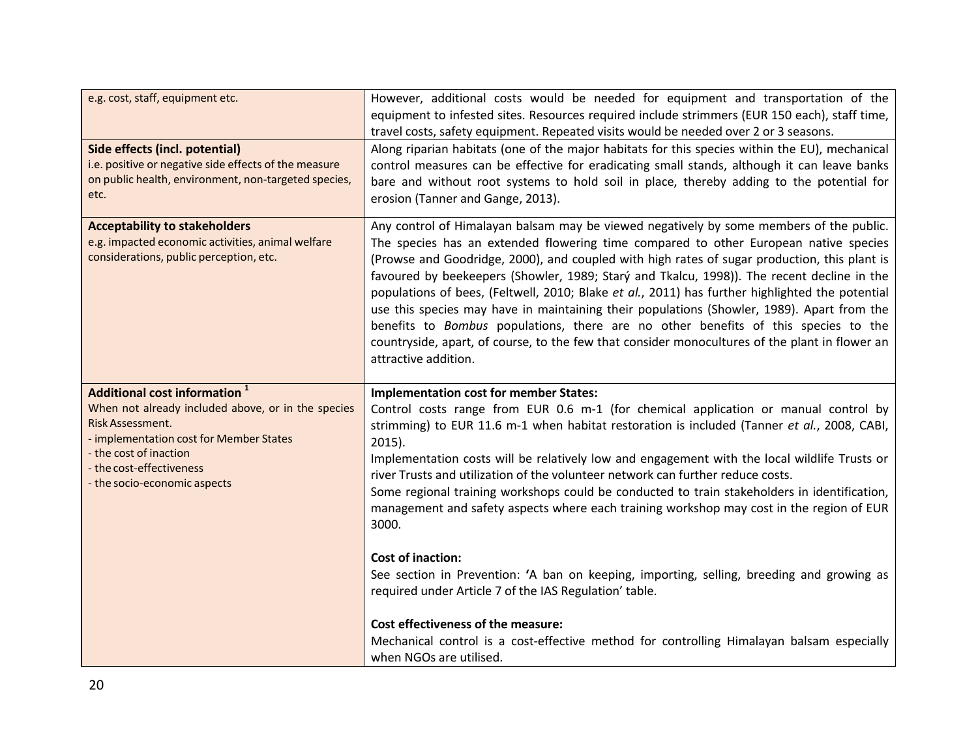| e.g. cost, staff, equipment etc.                                                                                                                                                                                                                    | However, additional costs would be needed for equipment and transportation of the<br>equipment to infested sites. Resources required include strimmers (EUR 150 each), staff time,<br>travel costs, safety equipment. Repeated visits would be needed over 2 or 3 seasons.                                                                                                                                                                                                                                                                                                                                                                                                                                                                                                                     |
|-----------------------------------------------------------------------------------------------------------------------------------------------------------------------------------------------------------------------------------------------------|------------------------------------------------------------------------------------------------------------------------------------------------------------------------------------------------------------------------------------------------------------------------------------------------------------------------------------------------------------------------------------------------------------------------------------------------------------------------------------------------------------------------------------------------------------------------------------------------------------------------------------------------------------------------------------------------------------------------------------------------------------------------------------------------|
| Side effects (incl. potential)<br>i.e. positive or negative side effects of the measure<br>on public health, environment, non-targeted species,<br>etc.                                                                                             | Along riparian habitats (one of the major habitats for this species within the EU), mechanical<br>control measures can be effective for eradicating small stands, although it can leave banks<br>bare and without root systems to hold soil in place, thereby adding to the potential for<br>erosion (Tanner and Gange, 2013).                                                                                                                                                                                                                                                                                                                                                                                                                                                                 |
| <b>Acceptability to stakeholders</b><br>e.g. impacted economic activities, animal welfare<br>considerations, public perception, etc.                                                                                                                | Any control of Himalayan balsam may be viewed negatively by some members of the public.<br>The species has an extended flowering time compared to other European native species<br>(Prowse and Goodridge, 2000), and coupled with high rates of sugar production, this plant is<br>favoured by beekeepers (Showler, 1989; Starý and Tkalcu, 1998)). The recent decline in the<br>populations of bees, (Feltwell, 2010; Blake et al., 2011) has further highlighted the potential<br>use this species may have in maintaining their populations (Showler, 1989). Apart from the<br>benefits to Bombus populations, there are no other benefits of this species to the<br>countryside, apart, of course, to the few that consider monocultures of the plant in flower an<br>attractive addition. |
| Additional cost information <sup>1</sup><br>When not already included above, or in the species<br>Risk Assessment.<br>- implementation cost for Member States<br>- the cost of inaction<br>- the cost-effectiveness<br>- the socio-economic aspects | <b>Implementation cost for member States:</b><br>Control costs range from EUR 0.6 m-1 (for chemical application or manual control by<br>strimming) to EUR 11.6 m-1 when habitat restoration is included (Tanner et al., 2008, CABI,<br>$2015$ ).<br>Implementation costs will be relatively low and engagement with the local wildlife Trusts or<br>river Trusts and utilization of the volunteer network can further reduce costs.<br>Some regional training workshops could be conducted to train stakeholders in identification,<br>management and safety aspects where each training workshop may cost in the region of EUR<br>3000.                                                                                                                                                       |
|                                                                                                                                                                                                                                                     | <b>Cost of inaction:</b><br>See section in Prevention: 'A ban on keeping, importing, selling, breeding and growing as<br>required under Article 7 of the IAS Regulation' table.                                                                                                                                                                                                                                                                                                                                                                                                                                                                                                                                                                                                                |
|                                                                                                                                                                                                                                                     | <b>Cost effectiveness of the measure:</b><br>Mechanical control is a cost-effective method for controlling Himalayan balsam especially<br>when NGOs are utilised.                                                                                                                                                                                                                                                                                                                                                                                                                                                                                                                                                                                                                              |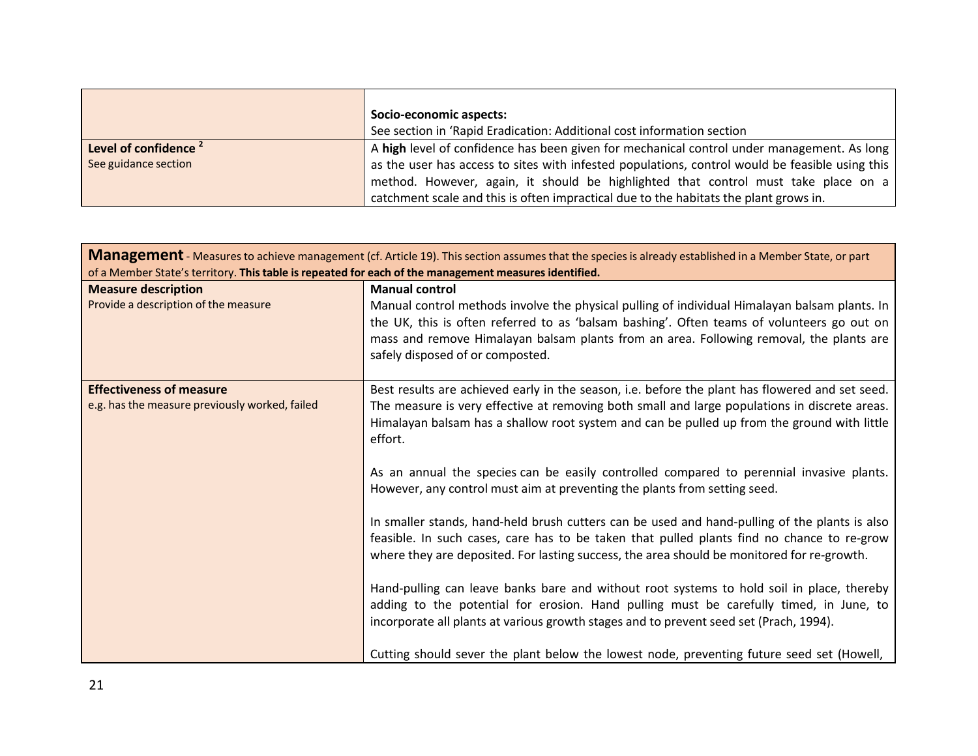|                                  | Socio-economic aspects:                                                                         |
|----------------------------------|-------------------------------------------------------------------------------------------------|
|                                  | See section in 'Rapid Eradication: Additional cost information section                          |
| Level of confidence <sup>2</sup> | A high level of confidence has been given for mechanical control under management. As long      |
| See guidance section             | as the user has access to sites with infested populations, control would be feasible using this |
|                                  | method. However, again, it should be highlighted that control must take place on a              |
|                                  | catchment scale and this is often impractical due to the habitats the plant grows in.           |

| <b>Management</b> - Measures to achieve management (cf. Article 19). This section assumes that the species is already established in a Member State, or part |                                                                                                                                                                                                                                                                                                                            |
|--------------------------------------------------------------------------------------------------------------------------------------------------------------|----------------------------------------------------------------------------------------------------------------------------------------------------------------------------------------------------------------------------------------------------------------------------------------------------------------------------|
| of a Member State's territory. This table is repeated for each of the management measures identified.                                                        |                                                                                                                                                                                                                                                                                                                            |
| <b>Measure description</b>                                                                                                                                   | <b>Manual control</b>                                                                                                                                                                                                                                                                                                      |
| Provide a description of the measure                                                                                                                         | Manual control methods involve the physical pulling of individual Himalayan balsam plants. In<br>the UK, this is often referred to as 'balsam bashing'. Often teams of volunteers go out on<br>mass and remove Himalayan balsam plants from an area. Following removal, the plants are<br>safely disposed of or composted. |
| <b>Effectiveness of measure</b>                                                                                                                              | Best results are achieved early in the season, i.e. before the plant has flowered and set seed.                                                                                                                                                                                                                            |
| e.g. has the measure previously worked, failed                                                                                                               | The measure is very effective at removing both small and large populations in discrete areas.<br>Himalayan balsam has a shallow root system and can be pulled up from the ground with little<br>effort.                                                                                                                    |
|                                                                                                                                                              | As an annual the species can be easily controlled compared to perennial invasive plants.<br>However, any control must aim at preventing the plants from setting seed.                                                                                                                                                      |
|                                                                                                                                                              | In smaller stands, hand-held brush cutters can be used and hand-pulling of the plants is also<br>feasible. In such cases, care has to be taken that pulled plants find no chance to re-grow<br>where they are deposited. For lasting success, the area should be monitored for re-growth.                                  |
|                                                                                                                                                              | Hand-pulling can leave banks bare and without root systems to hold soil in place, thereby<br>adding to the potential for erosion. Hand pulling must be carefully timed, in June, to<br>incorporate all plants at various growth stages and to prevent seed set (Prach, 1994).                                              |
|                                                                                                                                                              | Cutting should sever the plant below the lowest node, preventing future seed set (Howell,                                                                                                                                                                                                                                  |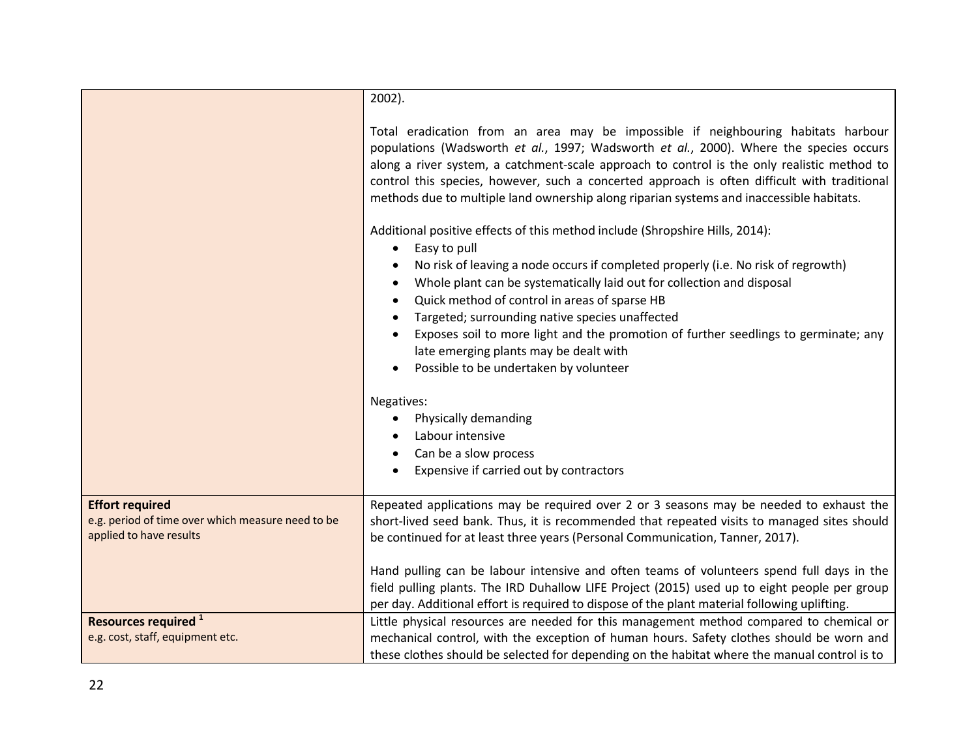|                                                                                                        | $2002$ ).                                                                                                                                                                                                                                                                                                                                                                                                                                                                                                                                                                      |
|--------------------------------------------------------------------------------------------------------|--------------------------------------------------------------------------------------------------------------------------------------------------------------------------------------------------------------------------------------------------------------------------------------------------------------------------------------------------------------------------------------------------------------------------------------------------------------------------------------------------------------------------------------------------------------------------------|
|                                                                                                        | Total eradication from an area may be impossible if neighbouring habitats harbour<br>populations (Wadsworth et al., 1997; Wadsworth et al., 2000). Where the species occurs<br>along a river system, a catchment-scale approach to control is the only realistic method to<br>control this species, however, such a concerted approach is often difficult with traditional<br>methods due to multiple land ownership along riparian systems and inaccessible habitats.                                                                                                         |
|                                                                                                        | Additional positive effects of this method include (Shropshire Hills, 2014):<br>Easy to pull<br>$\bullet$<br>No risk of leaving a node occurs if completed properly (i.e. No risk of regrowth)<br>$\bullet$<br>Whole plant can be systematically laid out for collection and disposal<br>$\bullet$<br>Quick method of control in areas of sparse HB<br>$\bullet$<br>Targeted; surrounding native species unaffected<br>$\bullet$<br>Exposes soil to more light and the promotion of further seedlings to germinate; any<br>$\bullet$<br>late emerging plants may be dealt with |
|                                                                                                        | Possible to be undertaken by volunteer<br>$\bullet$                                                                                                                                                                                                                                                                                                                                                                                                                                                                                                                            |
|                                                                                                        | Negatives:                                                                                                                                                                                                                                                                                                                                                                                                                                                                                                                                                                     |
|                                                                                                        | Physically demanding                                                                                                                                                                                                                                                                                                                                                                                                                                                                                                                                                           |
|                                                                                                        | Labour intensive                                                                                                                                                                                                                                                                                                                                                                                                                                                                                                                                                               |
|                                                                                                        | Can be a slow process<br>Expensive if carried out by contractors                                                                                                                                                                                                                                                                                                                                                                                                                                                                                                               |
|                                                                                                        |                                                                                                                                                                                                                                                                                                                                                                                                                                                                                                                                                                                |
| <b>Effort required</b><br>e.g. period of time over which measure need to be<br>applied to have results | Repeated applications may be required over 2 or 3 seasons may be needed to exhaust the<br>short-lived seed bank. Thus, it is recommended that repeated visits to managed sites should<br>be continued for at least three years (Personal Communication, Tanner, 2017).                                                                                                                                                                                                                                                                                                         |
|                                                                                                        | Hand pulling can be labour intensive and often teams of volunteers spend full days in the<br>field pulling plants. The IRD Duhallow LIFE Project (2015) used up to eight people per group                                                                                                                                                                                                                                                                                                                                                                                      |
|                                                                                                        | per day. Additional effort is required to dispose of the plant material following uplifting.                                                                                                                                                                                                                                                                                                                                                                                                                                                                                   |
| Resources required <sup>1</sup>                                                                        | Little physical resources are needed for this management method compared to chemical or                                                                                                                                                                                                                                                                                                                                                                                                                                                                                        |
| e.g. cost, staff, equipment etc.                                                                       | mechanical control, with the exception of human hours. Safety clothes should be worn and                                                                                                                                                                                                                                                                                                                                                                                                                                                                                       |
|                                                                                                        | these clothes should be selected for depending on the habitat where the manual control is to                                                                                                                                                                                                                                                                                                                                                                                                                                                                                   |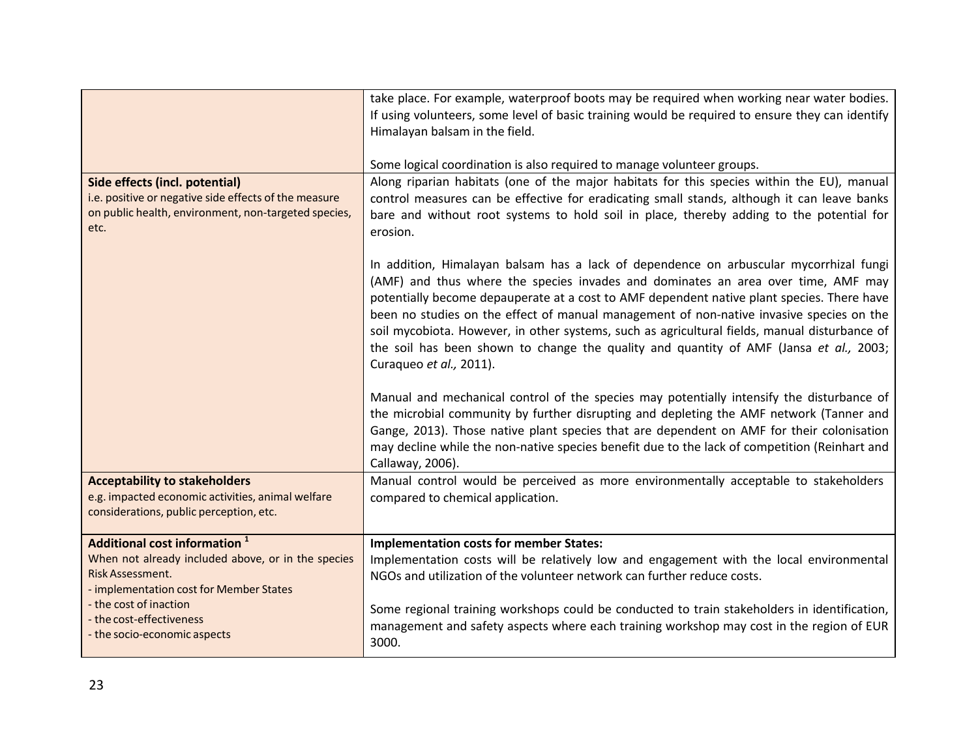|                                                       | take place. For example, waterproof boots may be required when working near water bodies.       |
|-------------------------------------------------------|-------------------------------------------------------------------------------------------------|
|                                                       | If using volunteers, some level of basic training would be required to ensure they can identify |
|                                                       | Himalayan balsam in the field.                                                                  |
|                                                       |                                                                                                 |
|                                                       | Some logical coordination is also required to manage volunteer groups.                          |
| Side effects (incl. potential)                        | Along riparian habitats (one of the major habitats for this species within the EU), manual      |
| i.e. positive or negative side effects of the measure | control measures can be effective for eradicating small stands, although it can leave banks     |
| on public health, environment, non-targeted species,  | bare and without root systems to hold soil in place, thereby adding to the potential for        |
| etc.                                                  | erosion.                                                                                        |
|                                                       |                                                                                                 |
|                                                       | In addition, Himalayan balsam has a lack of dependence on arbuscular mycorrhizal fungi          |
|                                                       | (AMF) and thus where the species invades and dominates an area over time, AMF may               |
|                                                       | potentially become depauperate at a cost to AMF dependent native plant species. There have      |
|                                                       | been no studies on the effect of manual management of non-native invasive species on the        |
|                                                       | soil mycobiota. However, in other systems, such as agricultural fields, manual disturbance of   |
|                                                       | the soil has been shown to change the quality and quantity of AMF (Jansa et al., 2003;          |
|                                                       | Curaqueo et al., 2011).                                                                         |
|                                                       |                                                                                                 |
|                                                       | Manual and mechanical control of the species may potentially intensify the disturbance of       |
|                                                       | the microbial community by further disrupting and depleting the AMF network (Tanner and         |
|                                                       | Gange, 2013). Those native plant species that are dependent on AMF for their colonisation       |
|                                                       | may decline while the non-native species benefit due to the lack of competition (Reinhart and   |
|                                                       | Callaway, 2006).                                                                                |
| <b>Acceptability to stakeholders</b>                  | Manual control would be perceived as more environmentally acceptable to stakeholders            |
| e.g. impacted economic activities, animal welfare     | compared to chemical application.                                                               |
| considerations, public perception, etc.               |                                                                                                 |
|                                                       |                                                                                                 |
| <b>Additional cost information</b> <sup>1</sup>       | <b>Implementation costs for member States:</b>                                                  |
| When not already included above, or in the species    | Implementation costs will be relatively low and engagement with the local environmental         |
| Risk Assessment.                                      | NGOs and utilization of the volunteer network can further reduce costs.                         |
| - implementation cost for Member States               |                                                                                                 |
| - the cost of inaction                                | Some regional training workshops could be conducted to train stakeholders in identification,    |
| - the cost-effectiveness                              | management and safety aspects where each training workshop may cost in the region of EUR        |
| - the socio-economic aspects                          | 3000.                                                                                           |
|                                                       |                                                                                                 |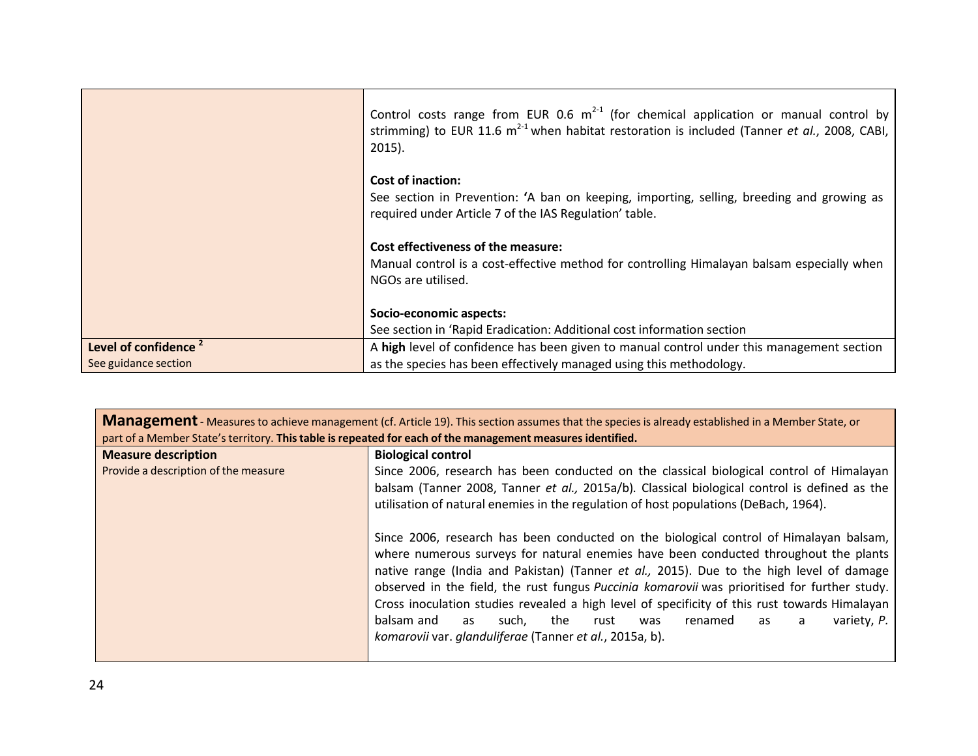|                                  | Control costs range from EUR 0.6 $m^{2-1}$ (for chemical application or manual control by<br>strimming) to EUR 11.6 $m^{2-1}$ when habitat restoration is included (Tanner et al., 2008, CABI,  <br>$2015$ ). |
|----------------------------------|---------------------------------------------------------------------------------------------------------------------------------------------------------------------------------------------------------------|
|                                  | <b>Cost of inaction:</b>                                                                                                                                                                                      |
|                                  | See section in Prevention: 'A ban on keeping, importing, selling, breeding and growing as<br>required under Article 7 of the IAS Regulation' table.                                                           |
|                                  | Cost effectiveness of the measure:                                                                                                                                                                            |
|                                  | Manual control is a cost-effective method for controlling Himalayan balsam especially when<br>NGOs are utilised.                                                                                              |
|                                  | Socio-economic aspects:                                                                                                                                                                                       |
|                                  | See section in 'Rapid Eradication: Additional cost information section                                                                                                                                        |
| Level of confidence <sup>2</sup> | A high level of confidence has been given to manual control under this management section                                                                                                                     |
| See guidance section             | as the species has been effectively managed using this methodology.                                                                                                                                           |

| <b>Management</b> - Measures to achieve management (cf. Article 19). This section assumes that the species is already established in a Member State, or<br>part of a Member State's territory. This table is repeated for each of the management measures identified. |                                                                                                                                                                                                                                                                                                                                                                                                                                                                                                                                                                                                                                |
|-----------------------------------------------------------------------------------------------------------------------------------------------------------------------------------------------------------------------------------------------------------------------|--------------------------------------------------------------------------------------------------------------------------------------------------------------------------------------------------------------------------------------------------------------------------------------------------------------------------------------------------------------------------------------------------------------------------------------------------------------------------------------------------------------------------------------------------------------------------------------------------------------------------------|
| <b>Measure description</b><br>Provide a description of the measure                                                                                                                                                                                                    | <b>Biological control</b><br>Since 2006, research has been conducted on the classical biological control of Himalayan<br>balsam (Tanner 2008, Tanner et al., 2015a/b). Classical biological control is defined as the<br>utilisation of natural enemies in the regulation of host populations (DeBach, 1964).                                                                                                                                                                                                                                                                                                                  |
|                                                                                                                                                                                                                                                                       | Since 2006, research has been conducted on the biological control of Himalayan balsam,<br>where numerous surveys for natural enemies have been conducted throughout the plants<br>native range (India and Pakistan) (Tanner et al., 2015). Due to the high level of damage<br>observed in the field, the rust fungus Puccinia komarovii was prioritised for further study.<br>Cross inoculation studies revealed a high level of specificity of this rust towards Himalayan<br>balsam and<br>the<br>variety, P.<br>such.<br>rust<br>renamed<br>was<br>as<br>a<br>as<br>komarovii var. glanduliferae (Tanner et al., 2015a, b). |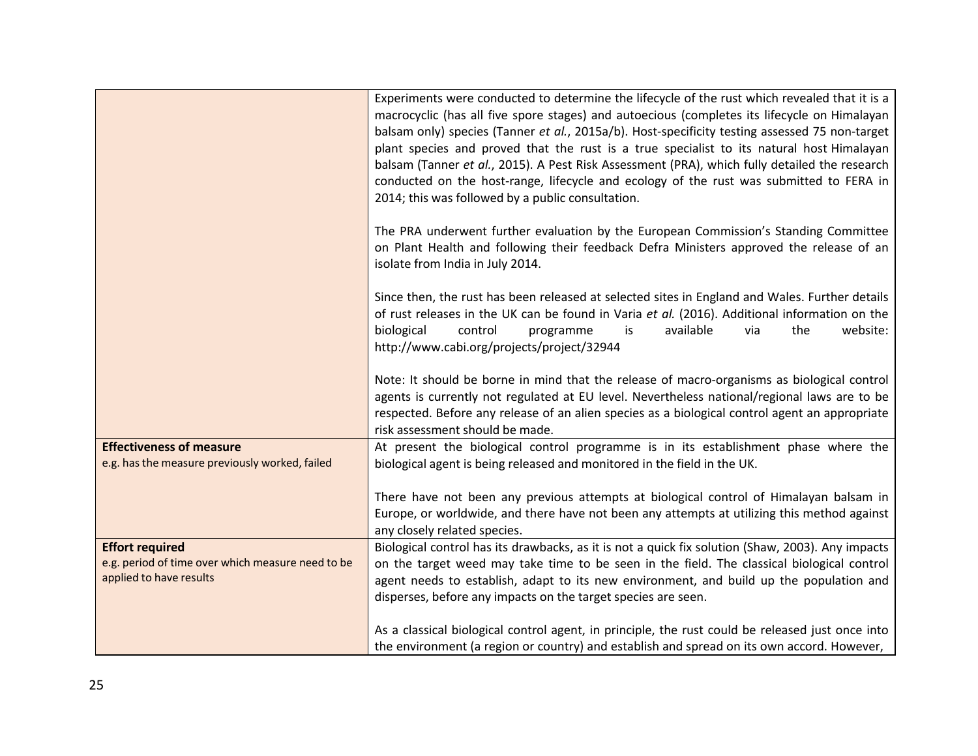|                                                                                                        | Experiments were conducted to determine the lifecycle of the rust which revealed that it is a<br>macrocyclic (has all five spore stages) and autoecious (completes its lifecycle on Himalayan<br>balsam only) species (Tanner et al., 2015a/b). Host-specificity testing assessed 75 non-target<br>plant species and proved that the rust is a true specialist to its natural host Himalayan<br>balsam (Tanner et al., 2015). A Pest Risk Assessment (PRA), which fully detailed the research<br>conducted on the host-range, lifecycle and ecology of the rust was submitted to FERA in<br>2014; this was followed by a public consultation. |
|--------------------------------------------------------------------------------------------------------|-----------------------------------------------------------------------------------------------------------------------------------------------------------------------------------------------------------------------------------------------------------------------------------------------------------------------------------------------------------------------------------------------------------------------------------------------------------------------------------------------------------------------------------------------------------------------------------------------------------------------------------------------|
|                                                                                                        | The PRA underwent further evaluation by the European Commission's Standing Committee<br>on Plant Health and following their feedback Defra Ministers approved the release of an<br>isolate from India in July 2014.                                                                                                                                                                                                                                                                                                                                                                                                                           |
|                                                                                                        | Since then, the rust has been released at selected sites in England and Wales. Further details<br>of rust releases in the UK can be found in Varia et al. (2016). Additional information on the<br>available<br>biological<br>control<br>is<br>via<br>the<br>website:<br>programme<br>http://www.cabi.org/projects/project/32944                                                                                                                                                                                                                                                                                                              |
|                                                                                                        | Note: It should be borne in mind that the release of macro-organisms as biological control<br>agents is currently not regulated at EU level. Nevertheless national/regional laws are to be<br>respected. Before any release of an alien species as a biological control agent an appropriate<br>risk assessment should be made.                                                                                                                                                                                                                                                                                                               |
| <b>Effectiveness of measure</b><br>e.g. has the measure previously worked, failed                      | At present the biological control programme is in its establishment phase where the<br>biological agent is being released and monitored in the field in the UK.                                                                                                                                                                                                                                                                                                                                                                                                                                                                               |
|                                                                                                        | There have not been any previous attempts at biological control of Himalayan balsam in<br>Europe, or worldwide, and there have not been any attempts at utilizing this method against<br>any closely related species.                                                                                                                                                                                                                                                                                                                                                                                                                         |
| <b>Effort required</b><br>e.g. period of time over which measure need to be<br>applied to have results | Biological control has its drawbacks, as it is not a quick fix solution (Shaw, 2003). Any impacts<br>on the target weed may take time to be seen in the field. The classical biological control<br>agent needs to establish, adapt to its new environment, and build up the population and<br>disperses, before any impacts on the target species are seen.                                                                                                                                                                                                                                                                                   |
|                                                                                                        | As a classical biological control agent, in principle, the rust could be released just once into<br>the environment (a region or country) and establish and spread on its own accord. However,                                                                                                                                                                                                                                                                                                                                                                                                                                                |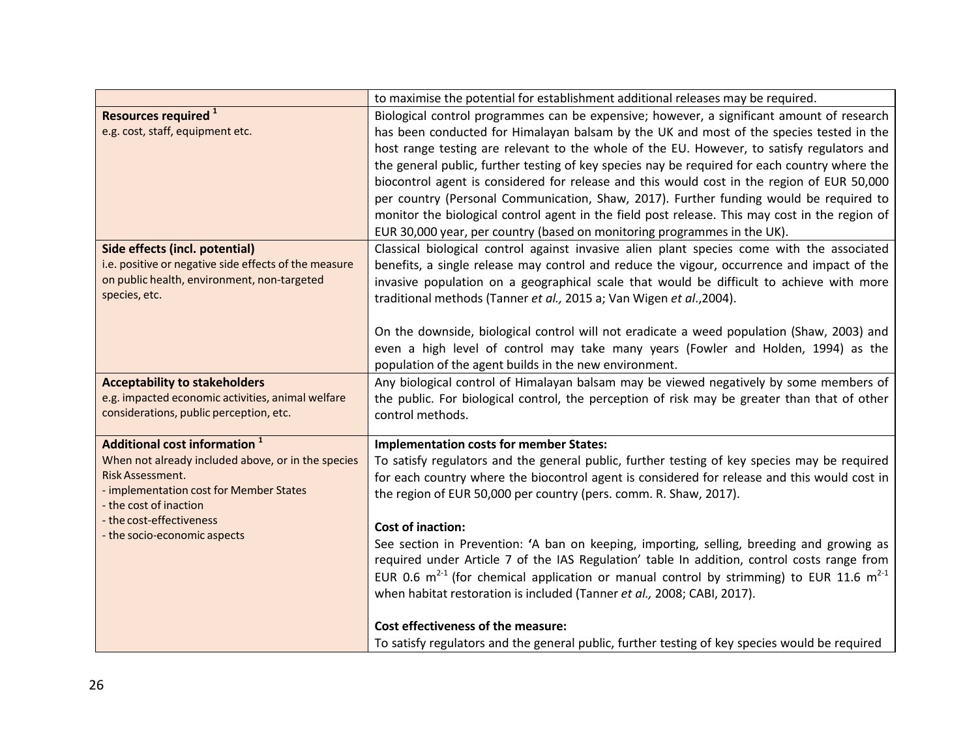|                                                       | to maximise the potential for establishment additional releases may be required.                                                                                                             |
|-------------------------------------------------------|----------------------------------------------------------------------------------------------------------------------------------------------------------------------------------------------|
| Resources required <sup>1</sup>                       | Biological control programmes can be expensive; however, a significant amount of research                                                                                                    |
| e.g. cost, staff, equipment etc.                      | has been conducted for Himalayan balsam by the UK and most of the species tested in the                                                                                                      |
|                                                       | host range testing are relevant to the whole of the EU. However, to satisfy regulators and                                                                                                   |
|                                                       | the general public, further testing of key species nay be required for each country where the                                                                                                |
|                                                       | biocontrol agent is considered for release and this would cost in the region of EUR 50,000                                                                                                   |
|                                                       | per country (Personal Communication, Shaw, 2017). Further funding would be required to                                                                                                       |
|                                                       | monitor the biological control agent in the field post release. This may cost in the region of                                                                                               |
|                                                       | EUR 30,000 year, per country (based on monitoring programmes in the UK).                                                                                                                     |
| Side effects (incl. potential)                        | Classical biological control against invasive alien plant species come with the associated                                                                                                   |
| i.e. positive or negative side effects of the measure | benefits, a single release may control and reduce the vigour, occurrence and impact of the                                                                                                   |
| on public health, environment, non-targeted           | invasive population on a geographical scale that would be difficult to achieve with more                                                                                                     |
| species, etc.                                         | traditional methods (Tanner et al., 2015 a; Van Wigen et al., 2004).                                                                                                                         |
|                                                       |                                                                                                                                                                                              |
|                                                       | On the downside, biological control will not eradicate a weed population (Shaw, 2003) and                                                                                                    |
|                                                       | even a high level of control may take many years (Fowler and Holden, 1994) as the                                                                                                            |
|                                                       | population of the agent builds in the new environment.                                                                                                                                       |
| <b>Acceptability to stakeholders</b>                  | Any biological control of Himalayan balsam may be viewed negatively by some members of                                                                                                       |
| e.g. impacted economic activities, animal welfare     | the public. For biological control, the perception of risk may be greater than that of other                                                                                                 |
| considerations, public perception, etc.               | control methods.                                                                                                                                                                             |
| Additional cost information <sup>1</sup>              |                                                                                                                                                                                              |
| When not already included above, or in the species    | <b>Implementation costs for member States:</b>                                                                                                                                               |
| Risk Assessment.                                      | To satisfy regulators and the general public, further testing of key species may be required<br>for each country where the biocontrol agent is considered for release and this would cost in |
| - implementation cost for Member States               | the region of EUR 50,000 per country (pers. comm. R. Shaw, 2017).                                                                                                                            |
| - the cost of inaction                                |                                                                                                                                                                                              |
| - the cost-effectiveness                              | <b>Cost of inaction:</b>                                                                                                                                                                     |
| - the socio-economic aspects                          | See section in Prevention: 'A ban on keeping, importing, selling, breeding and growing as                                                                                                    |
|                                                       | required under Article 7 of the IAS Regulation' table In addition, control costs range from                                                                                                  |
|                                                       | EUR 0.6 $m^{2-1}$ (for chemical application or manual control by strimming) to EUR 11.6 $m^{2-1}$                                                                                            |
|                                                       | when habitat restoration is included (Tanner et al., 2008; CABI, 2017).                                                                                                                      |
|                                                       |                                                                                                                                                                                              |
|                                                       | <b>Cost effectiveness of the measure:</b>                                                                                                                                                    |
|                                                       | To satisfy regulators and the general public, further testing of key species would be required                                                                                               |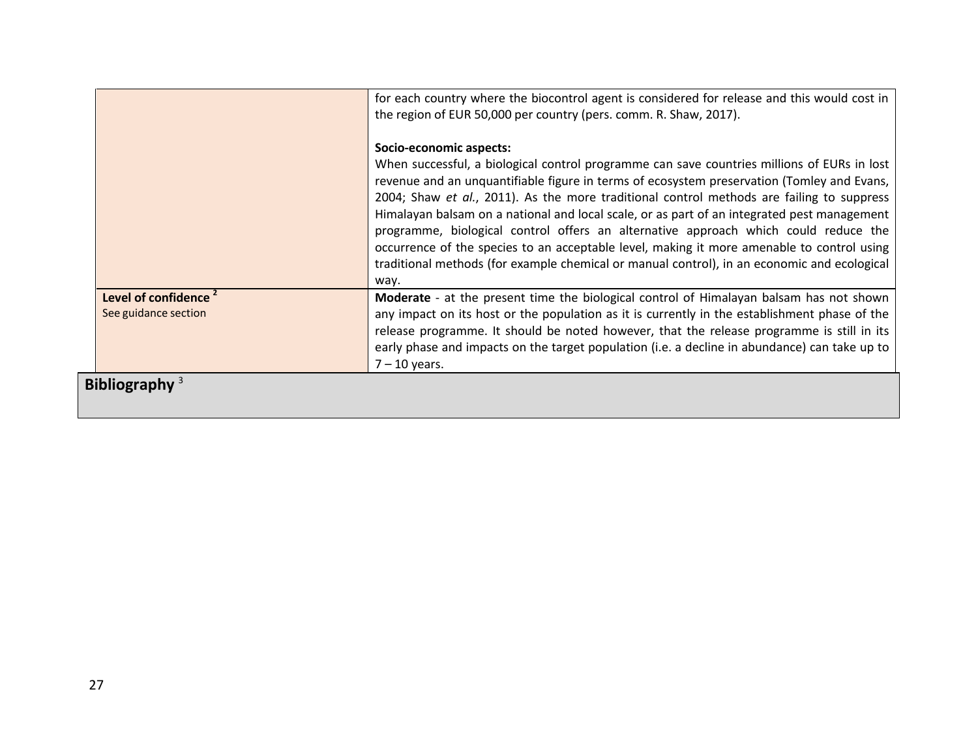|                                  | for each country where the biocontrol agent is considered for release and this would cost in<br>the region of EUR 50,000 per country (pers. comm. R. Shaw, 2017).                                                                                                                                                                                                                                                                                                                                                                                                                                                                                                                                            |
|----------------------------------|--------------------------------------------------------------------------------------------------------------------------------------------------------------------------------------------------------------------------------------------------------------------------------------------------------------------------------------------------------------------------------------------------------------------------------------------------------------------------------------------------------------------------------------------------------------------------------------------------------------------------------------------------------------------------------------------------------------|
|                                  | Socio-economic aspects:<br>When successful, a biological control programme can save countries millions of EURs in lost<br>revenue and an unquantifiable figure in terms of ecosystem preservation (Tomley and Evans,<br>2004; Shaw et al., 2011). As the more traditional control methods are failing to suppress<br>Himalayan balsam on a national and local scale, or as part of an integrated pest management<br>programme, biological control offers an alternative approach which could reduce the<br>occurrence of the species to an acceptable level, making it more amenable to control using<br>traditional methods (for example chemical or manual control), in an economic and ecological<br>way. |
| Level of confidence <sup>2</sup> | Moderate - at the present time the biological control of Himalayan balsam has not shown                                                                                                                                                                                                                                                                                                                                                                                                                                                                                                                                                                                                                      |
| See guidance section             | any impact on its host or the population as it is currently in the establishment phase of the<br>release programme. It should be noted however, that the release programme is still in its<br>early phase and impacts on the target population (i.e. a decline in abundance) can take up to<br>$7 - 10$ years.                                                                                                                                                                                                                                                                                                                                                                                               |
| Bibliography $3$                 |                                                                                                                                                                                                                                                                                                                                                                                                                                                                                                                                                                                                                                                                                                              |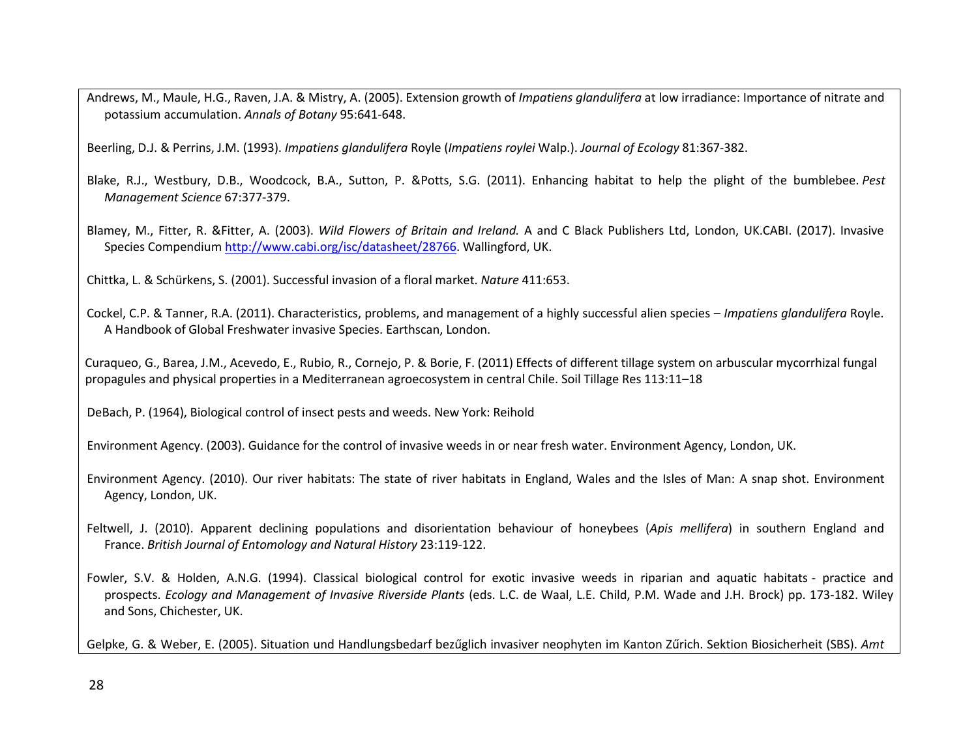Andrews, M., Maule, H.G., Raven, J.A. & Mistry, A. (2005). Extension growth of *Impatiens glandulifera* at low irradiance: Importance of nitrate and potassium accumulation. *Annals of Botany* 95:641-648.

Beerling, D.J. & Perrins, J.M. (1993). *Impatiens glandulifera* Royle (*Impatiens roylei* Walp.). *Journal of Ecology* 81:367-382.

- Blake, R.J., Westbury, D.B., Woodcock, B.A., Sutton, P. &Potts, S.G. (2011). Enhancing habitat to help the plight of the bumblebee. *Pest Management Science* 67:377-379.
- Blamey, M., Fitter, R. &Fitter, A. (2003). *Wild Flowers of Britain and Ireland.* A and C Black Publishers Ltd, London, UK.CABI. (2017). Invasive Species Compendium [http://www.cabi.org/isc/datasheet/28766.](http://www.cabi.org/isc/datasheet/28766) Wallingford, UK.

Chittka, L. & Schürkens, S. (2001). Successful invasion of a floral market. *Nature* 411:653.

Cockel, C.P. & Tanner, R.A. (2011). Characteristics, problems, and management of a highly successful alien species – *Impatiens glandulifera* Royle. A Handbook of Global Freshwater invasive Species. Earthscan, London.

Curaqueo, G., Barea, J.M., Acevedo, E., Rubio, R., Cornejo, P. & Borie, F. (2011) Effects of different tillage system on arbuscular mycorrhizal fungal propagules and physical properties in a Mediterranean agroecosystem in central Chile. Soil Tillage Res 113:11–18

DeBach, P. (1964), Biological control of insect pests and weeds. New York: Reihold

Environment Agency. (2003). Guidance for the control of invasive weeds in or near fresh water. Environment Agency, London, UK.

Environment Agency. (2010). Our river habitats: The state of river habitats in England, Wales and the Isles of Man: A snap shot. Environment Agency, London, UK.

- Feltwell, J. (2010). Apparent declining populations and disorientation behaviour of honeybees (*Apis mellifera*) in southern England and France. *British Journal of Entomology and Natural History* 23:119-122.
- Fowler, S.V. & Holden, A.N.G. (1994). Classical biological control for exotic invasive weeds in riparian and aquatic habitats practice and prospects. *Ecology and Management of Invasive Riverside Plants* (eds. L.C. de Waal, L.E. Child, P.M. Wade and J.H. Brock) pp. 173-182. Wiley and Sons, Chichester, UK.

Gelpke, G. & Weber, E. (2005). Situation und Handlungsbedarf bezűglich invasiver neophyten im Kanton Zűrich. Sektion Biosicherheit (SBS). *Amt*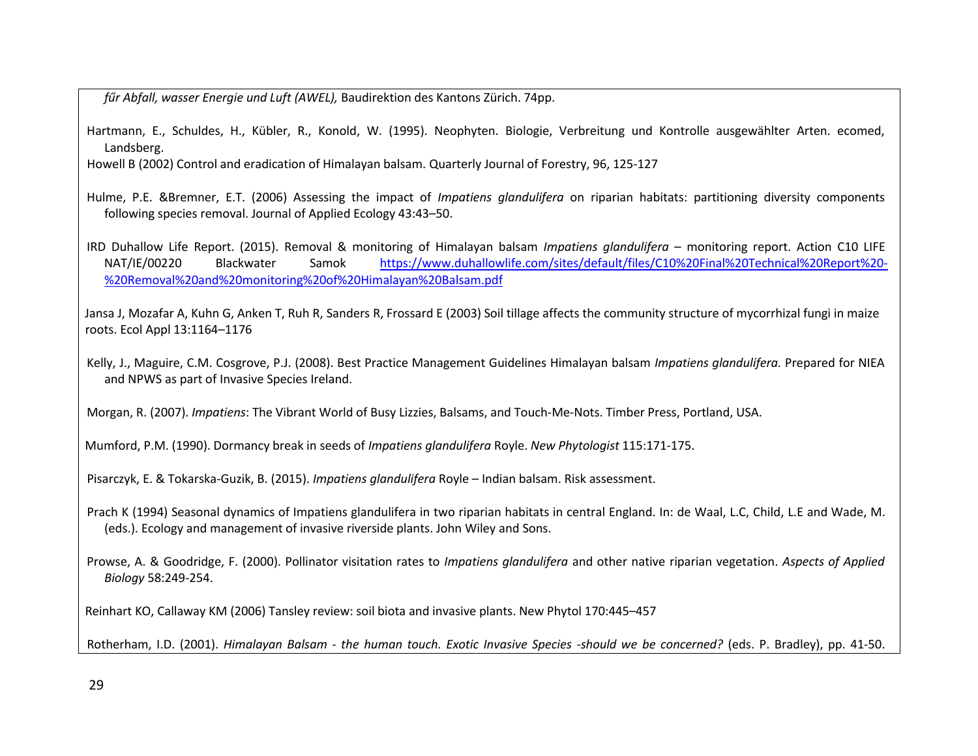*fűr Abfall, wasser Energie und Luft (AWEL),* Baudirektion des Kantons Zürich. 74pp.

Hartmann, E., Schuldes, H., Kübler, R., Konold, W. (1995). Neophyten. Biologie, Verbreitung und Kontrolle ausgewählter Arten. ecomed, Landsberg.

Howell B (2002) Control and eradication of Himalayan balsam. Quarterly Journal of Forestry, 96, 125-127

- Hulme, P.E. &Bremner, E.T. (2006) Assessing the impact of *Impatiens glandulifera* on riparian habitats: partitioning diversity components following species removal. Journal of Applied Ecology 43:43–50.
- IRD Duhallow Life Report. (2015). Removal & monitoring of Himalayan balsam *Impatiens glandulifera* monitoring report. Action C10 LIFE NAT/IE/00220 Blackwater Samok [https://www.duhallowlife.com/sites/default/files/C10%20Final%20Technical%20Report%20-](https://www.duhallowlife.com/sites/default/files/C10%20Final%20Technical%20Report%20-%20Removal%20and%20monitoring%20of%20Himalayan%20Balsam.pdf) [%20Removal%20and%20monitoring%20of%20Himalayan%20Balsam.pdf](https://www.duhallowlife.com/sites/default/files/C10%20Final%20Technical%20Report%20-%20Removal%20and%20monitoring%20of%20Himalayan%20Balsam.pdf)

Jansa J, Mozafar A, Kuhn G, Anken T, Ruh R, Sanders R, Frossard E (2003) Soil tillage affects the community structure of mycorrhizal fungi in maize roots. Ecol Appl 13:1164–1176

Kelly, J., Maguire, C.M. Cosgrove, P.J. (2008). Best Practice Management Guidelines Himalayan balsam *Impatiens glandulifera.* Prepared for NIEA and NPWS as part of Invasive Species Ireland.

Morgan, R. (2007). *Impatiens*: The Vibrant World of Busy Lizzies, Balsams, and Touch-Me-Nots. Timber Press, Portland, USA.

Mumford, P.M. (1990). Dormancy break in seeds of *Impatiens glandulifera* Royle. *New Phytologist* 115:171-175.

Pisarczyk, E. & Tokarska-Guzik, B. (2015). *Impatiens glandulifera* Royle – Indian balsam. Risk assessment.

- Prach K (1994) Seasonal dynamics of Impatiens glandulifera in two riparian habitats in central England. In: de Waal, L.C, Child, L.E and Wade, M. (eds.). Ecology and management of invasive riverside plants. John Wiley and Sons.
- Prowse, A. & Goodridge, F. (2000). Pollinator visitation rates to *Impatiens glandulifera* and other native riparian vegetation. *Aspects of Applied Biology* 58:249-254.

Reinhart KO, Callaway KM (2006) Tansley review: soil biota and invasive plants. New Phytol 170:445–457

Rotherham, I.D. (2001). Himalayan Balsam - the human touch. Exotic Invasive Species -should we be concerned? (eds. P. Bradley), pp. 41-50.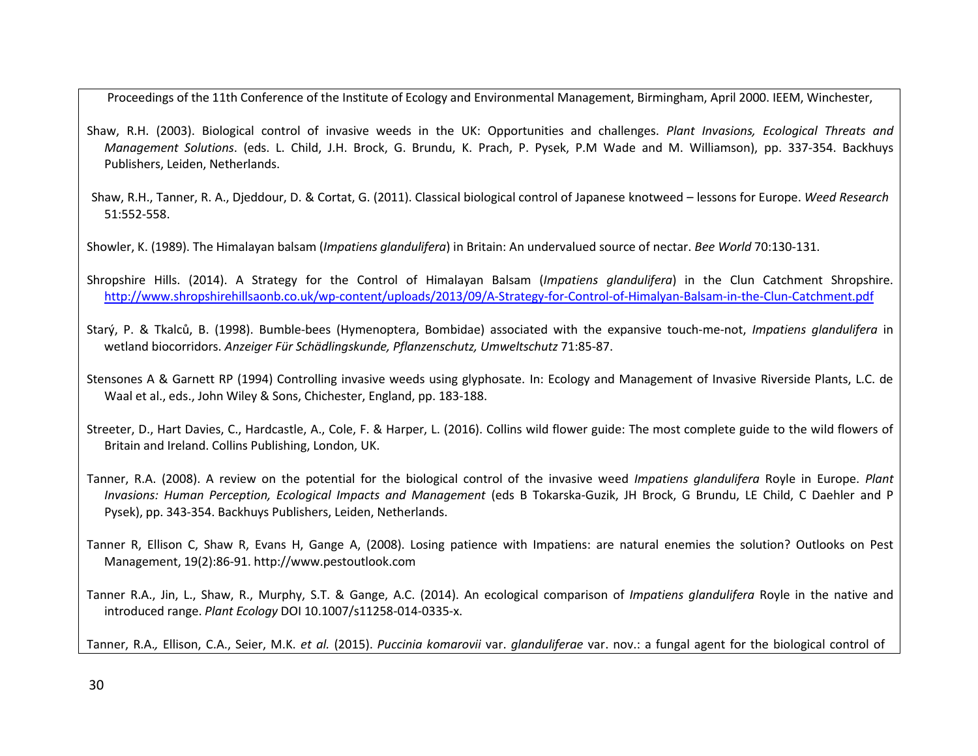Proceedings of the 11th Conference of the Institute of Ecology and Environmental Management, Birmingham, April 2000. IEEM, Winchester,

- Shaw, R.H. (2003). Biological control of invasive weeds in the UK: Opportunities and challenges. *Plant Invasions, Ecological Threats and Management Solutions*. (eds. L. Child, J.H. Brock, G. Brundu, K. Prach, P. Pysek, P.M Wade and M. Williamson), pp. 337-354. Backhuys Publishers, Leiden, Netherlands.
- Shaw, R.H., Tanner, R. A., Djeddour, D. & Cortat, G. (2011). Classical biological control of Japanese knotweed lessons for Europe. *Weed Research* 51:552-558.
- Showler, K. (1989). The Himalayan balsam (*Impatiens glandulifera*) in Britain: An undervalued source of nectar. *Bee World* 70:130-131.
- Shropshire Hills. (2014). A Strategy for the Control of Himalayan Balsam (*Impatiens glandulifera*) in the Clun Catchment Shropshire. <http://www.shropshirehillsaonb.co.uk/wp-content/uploads/2013/09/A-Strategy-for-Control-of-Himalyan-Balsam-in-the-Clun-Catchment.pdf>
- Starý, P. & Tkalců, B. (1998). Bumble-bees (Hymenoptera, Bombidae) associated with the expansive touch-me-not, *Impatiens glandulifera* in wetland biocorridors. *Anzeiger Für Schädlingskunde, Pflanzenschutz, Umweltschutz* 71:85-87.
- Stensones A & Garnett RP (1994) Controlling invasive weeds using glyphosate. In: Ecology and Management of Invasive Riverside Plants, L.C. de Waal et al., eds., John Wiley & Sons, Chichester, England, pp. 183-188.
- Streeter, D., Hart Davies, C., Hardcastle, A., Cole, F. & Harper, L. (2016). Collins wild flower guide: The most complete guide to the wild flowers of Britain and Ireland. Collins Publishing, London, UK.
- Tanner, R.A. (2008). A review on the potential for the biological control of the invasive weed *Impatiens glandulifera* Royle in Europe. *Plant Invasions: Human Perception, Ecological Impacts and Management* (eds B Tokarska-Guzik, JH Brock, G Brundu, LE Child, C Daehler and P Pysek), pp. 343-354. Backhuys Publishers, Leiden, Netherlands.
- Tanner R, Ellison C, Shaw R, Evans H, Gange A, (2008). Losing patience with Impatiens: are natural enemies the solution? Outlooks on Pest Management, 19(2):86-91. [http://www.pestoutlook.com](http://www.pestoutlook.com/)
- Tanner R.A., Jin, L., Shaw, R., Murphy, S.T. & Gange, A.C. (2014). An ecological comparison of *Impatiens glandulifera* Royle in the native and introduced range. *Plant Ecology* DOI 10.1007/s11258-014-0335-x.

Tanner, R.A.*,* Ellison, C.A., Seier, M.K. *et al.* (2015). *Puccinia komarovii* var. *glanduliferae* var. nov.: a fungal agent for the biological control of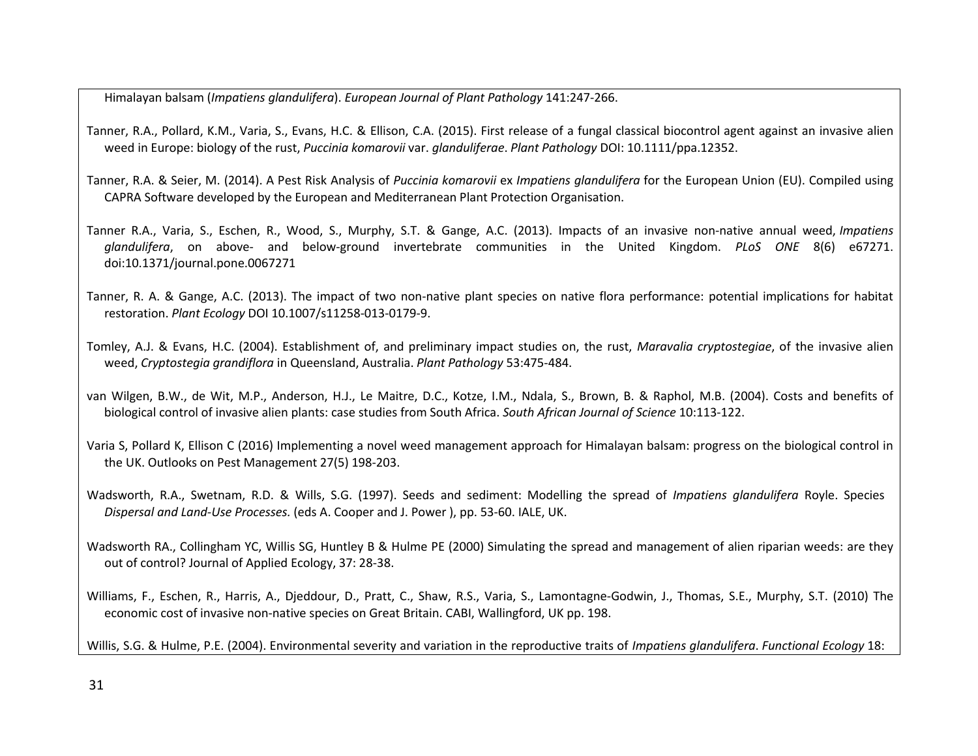Himalayan balsam (*Impatiens glandulifera*). *European Journal of Plant Pathology* 141:247-266.

- Tanner, R.A., Pollard, K.M., Varia, S., Evans, H.C. & Ellison, C.A. (2015). First release of a fungal classical biocontrol agent against an invasive alien weed in Europe: biology of the rust, *Puccinia komarovii* var. *glanduliferae*. *Plant Pathology* DOI: 10.1111/ppa.12352.
- Tanner, R.A. & Seier, M. (2014). A Pest Risk Analysis of *Puccinia komarovii* ex *Impatiens glandulifera* for the European Union (EU). Compiled using CAPRA Software developed by the European and Mediterranean Plant Protection Organisation.
- Tanner R.A., Varia, S., Eschen, R., Wood, S., Murphy, S.T. & Gange, A.C. (2013). Impacts of an invasive non-native annual weed, *Impatiens glandulifera*, on above- and below-ground invertebrate communities in the United Kingdom. *PLoS ONE* 8(6) e67271. doi:10.1371/journal.pone.0067271
- Tanner, R. A. & Gange, A.C. (2013). The impact of two non-native plant species on native flora performance: potential implications for habitat restoration. *Plant Ecology* DOI 10.1007/s11258-013-0179-9.
- Tomley, A.J. & Evans, H.C. (2004). Establishment of, and preliminary impact studies on, the rust, *Maravalia cryptostegiae*, of the invasive alien weed, *Cryptostegia grandiflora* in Queensland, Australia. *Plant Pathology* 53:475-484.
- van Wilgen, B.W., de Wit, M.P., Anderson, H.J., Le Maitre, D.C., Kotze, I.M., Ndala, S., Brown, B. & Raphol, M.B. (2004). Costs and benefits of biological control of invasive alien plants: case studies from South Africa. *South African Journal of Science* 10:113-122.
- Varia S, Pollard K, Ellison C (2016) Implementing a novel weed management approach for Himalayan balsam: progress on the biological control in the UK. Outlooks on Pest Management 27(5) 198-203.
- Wadsworth, R.A., Swetnam, R.D. & Wills, S.G. (1997). Seeds and sediment: Modelling the spread of *Impatiens glandulifera* Royle. Species *Dispersal and Land-Use Processes.* (eds A. Cooper and J. Power ), pp. 53-60. IALE, UK.
- Wadsworth RA., Collingham YC, Willis SG, Huntley B & Hulme PE (2000) Simulating the spread and management of alien riparian weeds: are they out of control? Journal of Applied Ecology, 37: 28-38.
- Williams, F., Eschen, R., Harris, A., Djeddour, D., Pratt, C., Shaw, R.S., Varia, S., Lamontagne-Godwin, J., Thomas, S.E., Murphy, S.T. (2010) The economic cost of invasive non-native species on Great Britain. CABI, Wallingford, UK pp. 198.

Willis, S.G. & Hulme, P.E. (2004). Environmental severity and variation in the reproductive traits of *Impatiens glandulifera*. *Functional Ecology* 18: